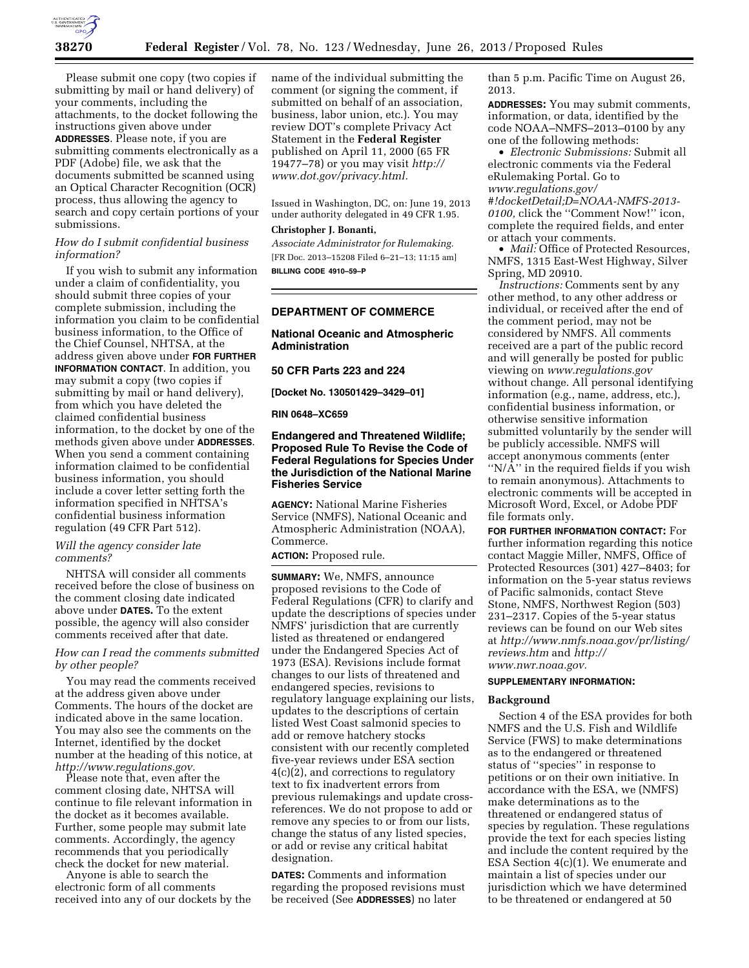

Please submit one copy (two copies if submitting by mail or hand delivery) of your comments, including the attachments, to the docket following the instructions given above under **ADDRESSES**. Please note, if you are submitting comments electronically as a PDF (Adobe) file, we ask that the documents submitted be scanned using an Optical Character Recognition (OCR) process, thus allowing the agency to search and copy certain portions of your submissions.

## *How do I submit confidential business information?*

If you wish to submit any information under a claim of confidentiality, you should submit three copies of your complete submission, including the information you claim to be confidential business information, to the Office of the Chief Counsel, NHTSA, at the address given above under **FOR FURTHER INFORMATION CONTACT**. In addition, you may submit a copy (two copies if submitting by mail or hand delivery), from which you have deleted the claimed confidential business information, to the docket by one of the methods given above under **ADDRESSES**. When you send a comment containing information claimed to be confidential business information, you should include a cover letter setting forth the information specified in NHTSA's confidential business information regulation (49 CFR Part 512).

# *Will the agency consider late comments?*

NHTSA will consider all comments received before the close of business on the comment closing date indicated above under **DATES.** To the extent possible, the agency will also consider comments received after that date.

# *How can I read the comments submitted by other people?*

You may read the comments received at the address given above under Comments. The hours of the docket are indicated above in the same location. You may also see the comments on the Internet, identified by the docket number at the heading of this notice, at *[http://www.regulations.gov.](http://www.regulations.gov)* 

Please note that, even after the comment closing date, NHTSA will continue to file relevant information in the docket as it becomes available. Further, some people may submit late comments. Accordingly, the agency recommends that you periodically check the docket for new material.

Anyone is able to search the electronic form of all comments received into any of our dockets by the

name of the individual submitting the comment (or signing the comment, if submitted on behalf of an association, business, labor union, etc.). You may review DOT's complete Privacy Act Statement in the **Federal Register**  published on April 11, 2000 (65 FR 19477–78) or you may visit *[http://](http://www.dot.gov/privacy.html) [www.dot.gov/privacy.html.](http://www.dot.gov/privacy.html)* 

Issued in Washington, DC, on: June 19, 2013 under authority delegated in 49 CFR 1.95.

### **Christopher J. Bonanti,**

*Associate Administrator for Rulemaking.*  [FR Doc. 2013–15208 Filed 6–21–13; 11:15 am] **BILLING CODE 4910–59–P** 

# **DEPARTMENT OF COMMERCE**

# **National Oceanic and Atmospheric Administration**

**50 CFR Parts 223 and 224** 

**[Docket No. 130501429–3429–01]** 

**RIN 0648–XC659** 

# **Endangered and Threatened Wildlife; Proposed Rule To Revise the Code of Federal Regulations for Species Under the Jurisdiction of the National Marine Fisheries Service**

**AGENCY:** National Marine Fisheries Service (NMFS), National Oceanic and Atmospheric Administration (NOAA), Commerce.

**ACTION:** Proposed rule.

**SUMMARY:** We, NMFS, announce proposed revisions to the Code of Federal Regulations (CFR) to clarify and update the descriptions of species under NMFS' jurisdiction that are currently listed as threatened or endangered under the Endangered Species Act of 1973 (ESA). Revisions include format changes to our lists of threatened and endangered species, revisions to regulatory language explaining our lists, updates to the descriptions of certain listed West Coast salmonid species to add or remove hatchery stocks consistent with our recently completed five-year reviews under ESA section 4(c)(2), and corrections to regulatory text to fix inadvertent errors from previous rulemakings and update crossreferences. We do not propose to add or remove any species to or from our lists, change the status of any listed species, or add or revise any critical habitat designation.

**DATES:** Comments and information regarding the proposed revisions must be received (See **ADDRESSES**) no later

than 5 p.m. Pacific Time on August 26, 2013.

**ADDRESSES:** You may submit comments, information, or data, identified by the code NOAA–NMFS–2013–0100 by any one of the following methods:

• *Electronic Submissions:* Submit all electronic comments via the Federal eRulemaking Portal. Go to *[www.regulations.gov/](http://www.regulations.gov/#!docketDetail;D=NOAA-NMFS-2013-0100) [#!docketDetail;D=NOAA-NMFS-2013-](http://www.regulations.gov/#!docketDetail;D=NOAA-NMFS-2013-0100) [0100,](http://www.regulations.gov/#!docketDetail;D=NOAA-NMFS-2013-0100)* click the ''Comment Now!'' icon, complete the required fields, and enter or attach your comments.

• *Mail:* Office of Protected Resources, NMFS, 1315 East-West Highway, Silver Spring, MD 20910.

*Instructions:* Comments sent by any other method, to any other address or individual, or received after the end of the comment period, may not be considered by NMFS. All comments received are a part of the public record and will generally be posted for public viewing on *[www.regulations.gov](http://www.regulations.gov)*  without change. All personal identifying information (e.g., name, address, etc.), confidential business information, or otherwise sensitive information submitted voluntarily by the sender will be publicly accessible. NMFS will accept anonymous comments (enter ''N/A'' in the required fields if you wish to remain anonymous). Attachments to electronic comments will be accepted in Microsoft Word, Excel, or Adobe PDF file formats only.

**FOR FURTHER INFORMATION CONTACT:** For further information regarding this notice contact Maggie Miller, NMFS, Office of Protected Resources (301) 427–8403; for information on the 5-year status reviews of Pacific salmonids, contact Steve Stone, NMFS, Northwest Region (503) 231–2317. Copies of the 5-year status reviews can be found on our Web sites at *[http://www.nmfs.noaa.gov/pr/listing/](http://www.nmfs.noaa.gov/pr/listing/reviews.htm)  [reviews.htm](http://www.nmfs.noaa.gov/pr/listing/reviews.htm)* and *[http://](http://www.nwr.noaa.gov)  [www.nwr.noaa.gov.](http://www.nwr.noaa.gov)* 

## **SUPPLEMENTARY INFORMATION:**

## **Background**

Section 4 of the ESA provides for both NMFS and the U.S. Fish and Wildlife Service (FWS) to make determinations as to the endangered or threatened status of ''species'' in response to petitions or on their own initiative. In accordance with the ESA, we (NMFS) make determinations as to the threatened or endangered status of species by regulation. These regulations provide the text for each species listing and include the content required by the ESA Section 4(c)(1). We enumerate and maintain a list of species under our jurisdiction which we have determined to be threatened or endangered at 50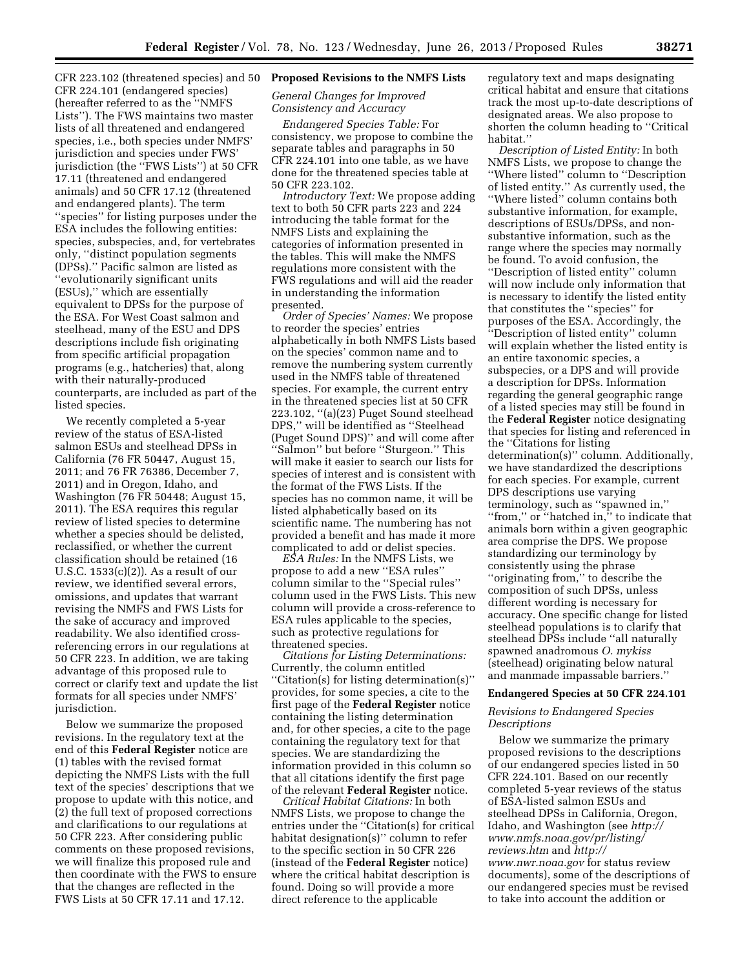CFR 223.102 (threatened species) and 50 CFR 224.101 (endangered species) (hereafter referred to as the ''NMFS Lists''). The FWS maintains two master lists of all threatened and endangered species, i.e., both species under NMFS' jurisdiction and species under FWS' jurisdiction (the ''FWS Lists'') at 50 CFR 17.11 (threatened and endangered animals) and 50 CFR 17.12 (threatened and endangered plants). The term ''species'' for listing purposes under the ESA includes the following entities: species, subspecies, and, for vertebrates only, ''distinct population segments (DPSs).'' Pacific salmon are listed as ''evolutionarily significant units (ESUs),'' which are essentially equivalent to DPSs for the purpose of the ESA. For West Coast salmon and steelhead, many of the ESU and DPS descriptions include fish originating from specific artificial propagation programs (e.g., hatcheries) that, along with their naturally-produced counterparts, are included as part of the listed species.

We recently completed a 5-year review of the status of ESA-listed salmon ESUs and steelhead DPSs in California (76 FR 50447, August 15, 2011; and 76 FR 76386, December 7, 2011) and in Oregon, Idaho, and Washington (76 FR 50448; August 15, 2011). The ESA requires this regular review of listed species to determine whether a species should be delisted, reclassified, or whether the current classification should be retained (16 U.S.C. 1533(c)(2)). As a result of our review, we identified several errors, omissions, and updates that warrant revising the NMFS and FWS Lists for the sake of accuracy and improved readability. We also identified crossreferencing errors in our regulations at 50 CFR 223. In addition, we are taking advantage of this proposed rule to correct or clarify text and update the list formats for all species under NMFS' jurisdiction.

Below we summarize the proposed revisions. In the regulatory text at the end of this **Federal Register** notice are (1) tables with the revised format depicting the NMFS Lists with the full text of the species' descriptions that we propose to update with this notice, and (2) the full text of proposed corrections and clarifications to our regulations at 50 CFR 223. After considering public comments on these proposed revisions, we will finalize this proposed rule and then coordinate with the FWS to ensure that the changes are reflected in the FWS Lists at 50 CFR 17.11 and 17.12.

## **Proposed Revisions to the NMFS Lists**

# *General Changes for Improved Consistency and Accuracy*

*Endangered Species Table:* For consistency, we propose to combine the separate tables and paragraphs in 50 CFR 224.101 into one table, as we have done for the threatened species table at 50 CFR 223.102.

*Introductory Text:* We propose adding text to both 50 CFR parts 223 and 224 introducing the table format for the NMFS Lists and explaining the categories of information presented in the tables. This will make the NMFS regulations more consistent with the FWS regulations and will aid the reader in understanding the information presented.

*Order of Species' Names:* We propose to reorder the species' entries alphabetically in both NMFS Lists based on the species' common name and to remove the numbering system currently used in the NMFS table of threatened species. For example, the current entry in the threatened species list at 50 CFR 223.102, ''(a)(23) Puget Sound steelhead DPS,'' will be identified as ''Steelhead (Puget Sound DPS)'' and will come after ''Salmon'' but before ''Sturgeon.'' This will make it easier to search our lists for species of interest and is consistent with the format of the FWS Lists. If the species has no common name, it will be listed alphabetically based on its scientific name. The numbering has not provided a benefit and has made it more complicated to add or delist species.

*ESA Rules:* In the NMFS Lists, we propose to add a new ''ESA rules'' column similar to the ''Special rules'' column used in the FWS Lists. This new column will provide a cross-reference to ESA rules applicable to the species, such as protective regulations for threatened species.

*Citations for Listing Determinations:*  Currently, the column entitled ''Citation(s) for listing determination(s)'' provides, for some species, a cite to the first page of the **Federal Register** notice containing the listing determination and, for other species, a cite to the page containing the regulatory text for that species. We are standardizing the information provided in this column so that all citations identify the first page of the relevant **Federal Register** notice.

*Critical Habitat Citations:* In both NMFS Lists, we propose to change the entries under the ''Citation(s) for critical habitat designation(s)'' column to refer to the specific section in 50 CFR 226 (instead of the **Federal Register** notice) where the critical habitat description is found. Doing so will provide a more direct reference to the applicable

regulatory text and maps designating critical habitat and ensure that citations track the most up-to-date descriptions of designated areas. We also propose to shorten the column heading to ''Critical habitat.''

*Description of Listed Entity:* In both NMFS Lists, we propose to change the ''Where listed'' column to ''Description of listed entity.'' As currently used, the ''Where listed'' column contains both substantive information, for example, descriptions of ESUs/DPSs, and nonsubstantive information, such as the range where the species may normally be found. To avoid confusion, the ''Description of listed entity'' column will now include only information that is necessary to identify the listed entity that constitutes the ''species'' for purposes of the ESA. Accordingly, the ''Description of listed entity'' column will explain whether the listed entity is an entire taxonomic species, a subspecies, or a DPS and will provide a description for DPSs. Information regarding the general geographic range of a listed species may still be found in the **Federal Register** notice designating that species for listing and referenced in the ''Citations for listing determination(s)'' column. Additionally, we have standardized the descriptions for each species. For example, current DPS descriptions use varying terminology, such as ''spawned in,'' "from," or "hatched in," to indicate that animals born within a given geographic area comprise the DPS. We propose standardizing our terminology by consistently using the phrase ''originating from,'' to describe the composition of such DPSs, unless different wording is necessary for accuracy. One specific change for listed steelhead populations is to clarify that steelhead DPSs include ''all naturally spawned anadromous *O. mykiss*  (steelhead) originating below natural and manmade impassable barriers.''

### **Endangered Species at 50 CFR 224.101**

## *Revisions to Endangered Species Descriptions*

Below we summarize the primary proposed revisions to the descriptions of our endangered species listed in 50 CFR 224.101. Based on our recently completed 5-year reviews of the status of ESA-listed salmon ESUs and steelhead DPSs in California, Oregon, Idaho, and Washington (see *[http://](http://www.nmfs.noaa.gov/pr/listing/reviews.htm) [www.nmfs.noaa.gov/pr/listing/](http://www.nmfs.noaa.gov/pr/listing/reviews.htm) [reviews.htm](http://www.nmfs.noaa.gov/pr/listing/reviews.htm)* and *[http://](http://www.nwr.noaa.gov)  [www.nwr.noaa.gov](http://www.nwr.noaa.gov)* for status review documents), some of the descriptions of our endangered species must be revised to take into account the addition or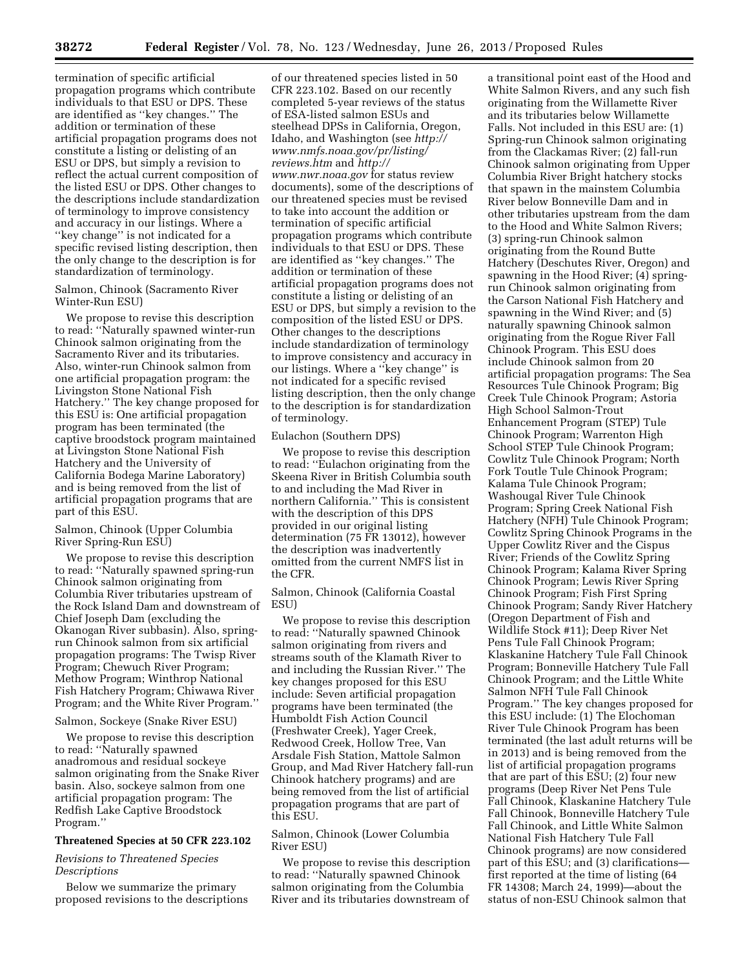termination of specific artificial propagation programs which contribute individuals to that ESU or DPS. These are identified as ''key changes.'' The addition or termination of these artificial propagation programs does not constitute a listing or delisting of an ESU or DPS, but simply a revision to reflect the actual current composition of the listed ESU or DPS. Other changes to the descriptions include standardization of terminology to improve consistency and accuracy in our listings. Where a ''key change'' is not indicated for a specific revised listing description, then the only change to the description is for standardization of terminology.

## Salmon, Chinook (Sacramento River Winter-Run ESU)

We propose to revise this description to read: ''Naturally spawned winter-run Chinook salmon originating from the Sacramento River and its tributaries. Also, winter-run Chinook salmon from one artificial propagation program: the Livingston Stone National Fish Hatchery.'' The key change proposed for this ESU is: One artificial propagation program has been terminated (the captive broodstock program maintained at Livingston Stone National Fish Hatchery and the University of California Bodega Marine Laboratory) and is being removed from the list of artificial propagation programs that are part of this ESU.

# Salmon, Chinook (Upper Columbia River Spring-Run ESU)

We propose to revise this description to read: ''Naturally spawned spring-run Chinook salmon originating from Columbia River tributaries upstream of the Rock Island Dam and downstream of Chief Joseph Dam (excluding the Okanogan River subbasin). Also, springrun Chinook salmon from six artificial propagation programs: The Twisp River Program; Chewuch River Program; Methow Program; Winthrop National Fish Hatchery Program; Chiwawa River Program; and the White River Program.''

### Salmon, Sockeye (Snake River ESU)

We propose to revise this description to read: ''Naturally spawned anadromous and residual sockeye salmon originating from the Snake River basin. Also, sockeye salmon from one artificial propagation program: The Redfish Lake Captive Broodstock Program.''

## **Threatened Species at 50 CFR 223.102**

### *Revisions to Threatened Species Descriptions*

Below we summarize the primary proposed revisions to the descriptions

of our threatened species listed in 50 CFR 223.102. Based on our recently completed 5-year reviews of the status of ESA-listed salmon ESUs and steelhead DPSs in California, Oregon, Idaho, and Washington (see *[http://](http://www.nmfs.noaa.gov/pr/listing/reviews.htm) [www.nmfs.noaa.gov/pr/listing/](http://www.nmfs.noaa.gov/pr/listing/reviews.htm) [reviews.htm](http://www.nmfs.noaa.gov/pr/listing/reviews.htm)* and *[http://](http://www.nwr.noaa.gov)  [www.nwr.noaa.gov](http://www.nwr.noaa.gov)* for status review documents), some of the descriptions of our threatened species must be revised to take into account the addition or termination of specific artificial propagation programs which contribute individuals to that ESU or DPS. These are identified as ''key changes.'' The addition or termination of these artificial propagation programs does not constitute a listing or delisting of an ESU or DPS, but simply a revision to the composition of the listed ESU or DPS. Other changes to the descriptions include standardization of terminology to improve consistency and accuracy in our listings. Where a ''key change'' is not indicated for a specific revised listing description, then the only change to the description is for standardization of terminology.

### Eulachon (Southern DPS)

We propose to revise this description to read: ''Eulachon originating from the Skeena River in British Columbia south to and including the Mad River in northern California.'' This is consistent with the description of this DPS provided in our original listing determination (75 FR 13012), however the description was inadvertently omitted from the current NMFS list in the CFR.

Salmon, Chinook (California Coastal ESU)

We propose to revise this description to read: ''Naturally spawned Chinook salmon originating from rivers and streams south of the Klamath River to and including the Russian River.'' The key changes proposed for this ESU include: Seven artificial propagation programs have been terminated (the Humboldt Fish Action Council (Freshwater Creek), Yager Creek, Redwood Creek, Hollow Tree, Van Arsdale Fish Station, Mattole Salmon Group, and Mad River Hatchery fall-run Chinook hatchery programs) and are being removed from the list of artificial propagation programs that are part of this ESU.

# Salmon, Chinook (Lower Columbia River ESU)

We propose to revise this description to read: ''Naturally spawned Chinook salmon originating from the Columbia River and its tributaries downstream of

a transitional point east of the Hood and White Salmon Rivers, and any such fish originating from the Willamette River and its tributaries below Willamette Falls. Not included in this ESU are: (1) Spring-run Chinook salmon originating from the Clackamas River; (2) fall-run Chinook salmon originating from Upper Columbia River Bright hatchery stocks that spawn in the mainstem Columbia River below Bonneville Dam and in other tributaries upstream from the dam to the Hood and White Salmon Rivers; (3) spring-run Chinook salmon originating from the Round Butte Hatchery (Deschutes River, Oregon) and spawning in the Hood River; (4) springrun Chinook salmon originating from the Carson National Fish Hatchery and spawning in the Wind River; and (5) naturally spawning Chinook salmon originating from the Rogue River Fall Chinook Program. This ESU does include Chinook salmon from 20 artificial propagation programs: The Sea Resources Tule Chinook Program; Big Creek Tule Chinook Program; Astoria High School Salmon-Trout Enhancement Program (STEP) Tule Chinook Program; Warrenton High School STEP Tule Chinook Program; Cowlitz Tule Chinook Program; North Fork Toutle Tule Chinook Program; Kalama Tule Chinook Program; Washougal River Tule Chinook Program; Spring Creek National Fish Hatchery (NFH) Tule Chinook Program; Cowlitz Spring Chinook Programs in the Upper Cowlitz River and the Cispus River; Friends of the Cowlitz Spring Chinook Program; Kalama River Spring Chinook Program; Lewis River Spring Chinook Program; Fish First Spring Chinook Program; Sandy River Hatchery (Oregon Department of Fish and Wildlife Stock #11); Deep River Net Pens Tule Fall Chinook Program; Klaskanine Hatchery Tule Fall Chinook Program; Bonneville Hatchery Tule Fall Chinook Program; and the Little White Salmon NFH Tule Fall Chinook Program.'' The key changes proposed for this ESU include: (1) The Elochoman River Tule Chinook Program has been terminated (the last adult returns will be in 2013) and is being removed from the list of artificial propagation programs that are part of this ESU; (2) four new programs (Deep River Net Pens Tule Fall Chinook, Klaskanine Hatchery Tule Fall Chinook, Bonneville Hatchery Tule Fall Chinook, and Little White Salmon National Fish Hatchery Tule Fall Chinook programs) are now considered part of this ESU; and (3) clarifications first reported at the time of listing (64 FR 14308; March 24, 1999)—about the status of non-ESU Chinook salmon that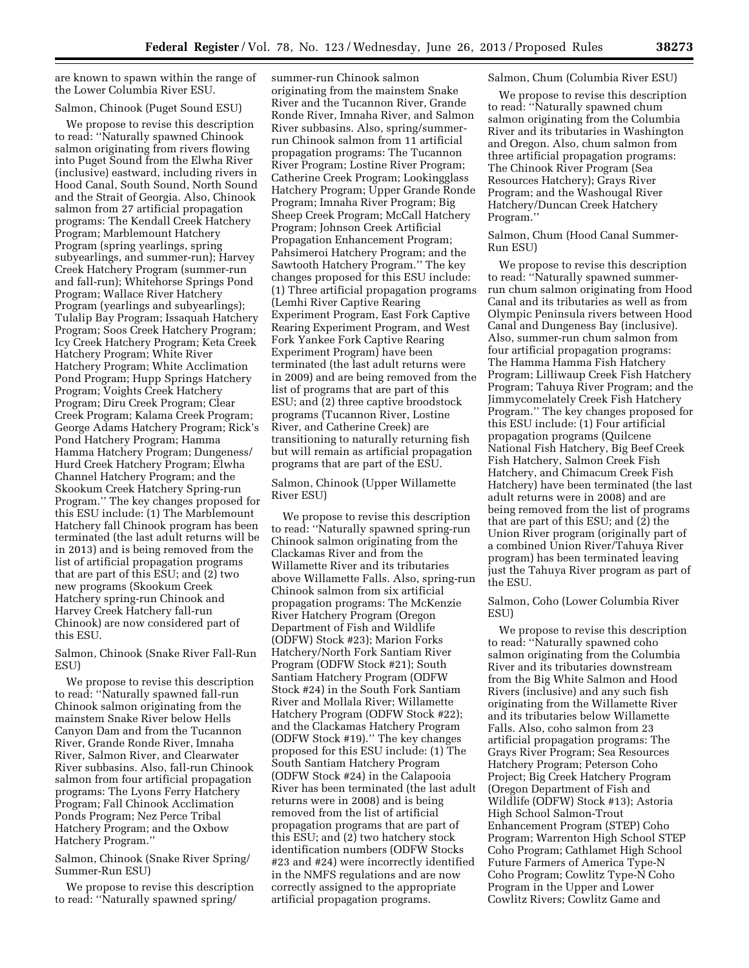are known to spawn within the range of the Lower Columbia River ESU.

### Salmon, Chinook (Puget Sound ESU)

We propose to revise this description to read: ''Naturally spawned Chinook salmon originating from rivers flowing into Puget Sound from the Elwha River (inclusive) eastward, including rivers in Hood Canal, South Sound, North Sound and the Strait of Georgia. Also, Chinook salmon from 27 artificial propagation programs: The Kendall Creek Hatchery Program; Marblemount Hatchery Program (spring yearlings, spring subyearlings, and summer-run); Harvey Creek Hatchery Program (summer-run and fall-run); Whitehorse Springs Pond Program; Wallace River Hatchery Program (yearlings and subyearlings); Tulalip Bay Program; Issaquah Hatchery Program; Soos Creek Hatchery Program; Icy Creek Hatchery Program; Keta Creek Hatchery Program; White River Hatchery Program; White Acclimation Pond Program; Hupp Springs Hatchery Program; Voights Creek Hatchery Program; Diru Creek Program; Clear Creek Program; Kalama Creek Program; George Adams Hatchery Program; Rick's Pond Hatchery Program; Hamma Hamma Hatchery Program; Dungeness/ Hurd Creek Hatchery Program; Elwha Channel Hatchery Program; and the Skookum Creek Hatchery Spring-run Program.'' The key changes proposed for this ESU include: (1) The Marblemount Hatchery fall Chinook program has been terminated (the last adult returns will be in 2013) and is being removed from the list of artificial propagation programs that are part of this ESU; and (2) two new programs (Skookum Creek Hatchery spring-run Chinook and Harvey Creek Hatchery fall-run Chinook) are now considered part of this ESU.

Salmon, Chinook (Snake River Fall-Run ESU)

We propose to revise this description to read: ''Naturally spawned fall-run Chinook salmon originating from the mainstem Snake River below Hells Canyon Dam and from the Tucannon River, Grande Ronde River, Imnaha River, Salmon River, and Clearwater River subbasins. Also, fall-run Chinook salmon from four artificial propagation programs: The Lyons Ferry Hatchery Program; Fall Chinook Acclimation Ponds Program; Nez Perce Tribal Hatchery Program; and the Oxbow Hatchery Program.''

Salmon, Chinook (Snake River Spring/ Summer-Run ESU)

We propose to revise this description to read: ''Naturally spawned spring/

summer-run Chinook salmon originating from the mainstem Snake River and the Tucannon River, Grande Ronde River, Imnaha River, and Salmon River subbasins. Also, spring/summerrun Chinook salmon from 11 artificial propagation programs: The Tucannon River Program; Lostine River Program; Catherine Creek Program; Lookingglass Hatchery Program; Upper Grande Ronde Program; Imnaha River Program; Big Sheep Creek Program; McCall Hatchery Program; Johnson Creek Artificial Propagation Enhancement Program; Pahsimeroi Hatchery Program; and the Sawtooth Hatchery Program.'' The key changes proposed for this ESU include: (1) Three artificial propagation programs (Lemhi River Captive Rearing Experiment Program, East Fork Captive Rearing Experiment Program, and West Fork Yankee Fork Captive Rearing Experiment Program) have been terminated (the last adult returns were in 2009) and are being removed from the list of programs that are part of this ESU; and (2) three captive broodstock programs (Tucannon River, Lostine River, and Catherine Creek) are transitioning to naturally returning fish but will remain as artificial propagation programs that are part of the ESU.

Salmon, Chinook (Upper Willamette River ESU)

We propose to revise this description to read: ''Naturally spawned spring-run Chinook salmon originating from the Clackamas River and from the Willamette River and its tributaries above Willamette Falls. Also, spring-run Chinook salmon from six artificial propagation programs: The McKenzie River Hatchery Program (Oregon Department of Fish and Wildlife (ODFW) Stock #23); Marion Forks Hatchery/North Fork Santiam River Program (ODFW Stock #21); South Santiam Hatchery Program (ODFW Stock #24) in the South Fork Santiam River and Mollala River; Willamette Hatchery Program (ODFW Stock #22); and the Clackamas Hatchery Program (ODFW Stock #19).'' The key changes proposed for this ESU include: (1) The South Santiam Hatchery Program (ODFW Stock #24) in the Calapooia River has been terminated (the last adult returns were in 2008) and is being removed from the list of artificial propagation programs that are part of this ESU; and (2) two hatchery stock identification numbers (ODFW Stocks #23 and #24) were incorrectly identified in the NMFS regulations and are now correctly assigned to the appropriate artificial propagation programs.

#### Salmon, Chum (Columbia River ESU)

We propose to revise this description to read: ''Naturally spawned chum salmon originating from the Columbia River and its tributaries in Washington and Oregon. Also, chum salmon from three artificial propagation programs: The Chinook River Program (Sea Resources Hatchery); Grays River Program; and the Washougal River Hatchery/Duncan Creek Hatchery Program.''

Salmon, Chum (Hood Canal Summer-Run ESU)

We propose to revise this description to read: ''Naturally spawned summerrun chum salmon originating from Hood Canal and its tributaries as well as from Olympic Peninsula rivers between Hood Canal and Dungeness Bay (inclusive). Also, summer-run chum salmon from four artificial propagation programs: The Hamma Hamma Fish Hatchery Program; Lilliwaup Creek Fish Hatchery Program; Tahuya River Program; and the Jimmycomelately Creek Fish Hatchery Program.'' The key changes proposed for this ESU include: (1) Four artificial propagation programs (Quilcene National Fish Hatchery, Big Beef Creek Fish Hatchery, Salmon Creek Fish Hatchery, and Chimacum Creek Fish Hatchery) have been terminated (the last adult returns were in 2008) and are being removed from the list of programs that are part of this ESU; and (2) the Union River program (originally part of a combined Union River/Tahuya River program) has been terminated leaving just the Tahuya River program as part of the ESU.

Salmon, Coho (Lower Columbia River ESU)

We propose to revise this description to read: ''Naturally spawned coho salmon originating from the Columbia River and its tributaries downstream from the Big White Salmon and Hood Rivers (inclusive) and any such fish originating from the Willamette River and its tributaries below Willamette Falls. Also, coho salmon from 23 artificial propagation programs: The Grays River Program; Sea Resources Hatchery Program; Peterson Coho Project; Big Creek Hatchery Program (Oregon Department of Fish and Wildlife (ODFW) Stock #13); Astoria High School Salmon-Trout Enhancement Program (STEP) Coho Program; Warrenton High School STEP Coho Program; Cathlamet High School Future Farmers of America Type-N Coho Program; Cowlitz Type-N Coho Program in the Upper and Lower Cowlitz Rivers; Cowlitz Game and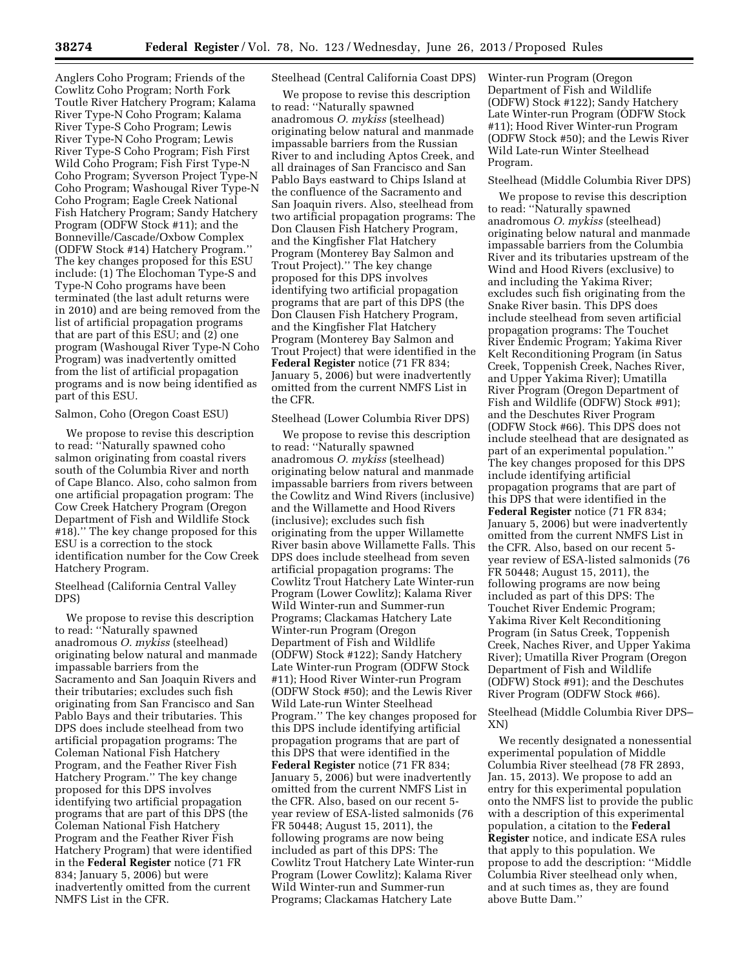Anglers Coho Program; Friends of the Cowlitz Coho Program; North Fork Toutle River Hatchery Program; Kalama River Type-N Coho Program; Kalama River Type-S Coho Program; Lewis River Type-N Coho Program; Lewis River Type-S Coho Program; Fish First Wild Coho Program; Fish First Type-N Coho Program; Syverson Project Type-N Coho Program; Washougal River Type-N Coho Program; Eagle Creek National Fish Hatchery Program; Sandy Hatchery Program (ODFW Stock #11); and the Bonneville/Cascade/Oxbow Complex (ODFW Stock #14) Hatchery Program.'' The key changes proposed for this ESU include: (1) The Elochoman Type-S and Type-N Coho programs have been terminated (the last adult returns were in 2010) and are being removed from the list of artificial propagation programs that are part of this ESU; and (2) one program (Washougal River Type-N Coho Program) was inadvertently omitted from the list of artificial propagation programs and is now being identified as part of this ESU.

# Salmon, Coho (Oregon Coast ESU)

We propose to revise this description to read: ''Naturally spawned coho salmon originating from coastal rivers south of the Columbia River and north of Cape Blanco. Also, coho salmon from one artificial propagation program: The Cow Creek Hatchery Program (Oregon Department of Fish and Wildlife Stock #18).'' The key change proposed for this ESU is a correction to the stock identification number for the Cow Creek Hatchery Program.

Steelhead (California Central Valley DPS)

We propose to revise this description to read: ''Naturally spawned anadromous *O. mykiss* (steelhead) originating below natural and manmade impassable barriers from the Sacramento and San Joaquin Rivers and their tributaries; excludes such fish originating from San Francisco and San Pablo Bays and their tributaries. This DPS does include steelhead from two artificial propagation programs: The Coleman National Fish Hatchery Program, and the Feather River Fish Hatchery Program.'' The key change proposed for this DPS involves identifying two artificial propagation programs that are part of this DPS (the Coleman National Fish Hatchery Program and the Feather River Fish Hatchery Program) that were identified in the **Federal Register** notice (71 FR 834; January 5, 2006) but were inadvertently omitted from the current NMFS List in the CFR.

# Steelhead (Central California Coast DPS)

We propose to revise this description to read: ''Naturally spawned anadromous *O. mykiss* (steelhead) originating below natural and manmade impassable barriers from the Russian River to and including Aptos Creek, and all drainages of San Francisco and San Pablo Bays eastward to Chips Island at the confluence of the Sacramento and San Joaquin rivers. Also, steelhead from two artificial propagation programs: The Don Clausen Fish Hatchery Program, and the Kingfisher Flat Hatchery Program (Monterey Bay Salmon and Trout Project).'' The key change proposed for this DPS involves identifying two artificial propagation programs that are part of this DPS (the Don Clausen Fish Hatchery Program, and the Kingfisher Flat Hatchery Program (Monterey Bay Salmon and Trout Project) that were identified in the **Federal Register** notice (71 FR 834; January 5, 2006) but were inadvertently omitted from the current NMFS List in the CFR.

## Steelhead (Lower Columbia River DPS)

We propose to revise this description to read: ''Naturally spawned anadromous *O. mykiss* (steelhead) originating below natural and manmade impassable barriers from rivers between the Cowlitz and Wind Rivers (inclusive) and the Willamette and Hood Rivers (inclusive); excludes such fish originating from the upper Willamette River basin above Willamette Falls. This DPS does include steelhead from seven artificial propagation programs: The Cowlitz Trout Hatchery Late Winter-run Program (Lower Cowlitz); Kalama River Wild Winter-run and Summer-run Programs; Clackamas Hatchery Late Winter-run Program (Oregon Department of Fish and Wildlife (ODFW) Stock #122); Sandy Hatchery Late Winter-run Program (ODFW Stock #11); Hood River Winter-run Program (ODFW Stock #50); and the Lewis River Wild Late-run Winter Steelhead Program.'' The key changes proposed for this DPS include identifying artificial propagation programs that are part of this DPS that were identified in the **Federal Register** notice (71 FR 834; January 5, 2006) but were inadvertently omitted from the current NMFS List in the CFR. Also, based on our recent 5 year review of ESA-listed salmonids (76 FR 50448; August 15, 2011), the following programs are now being included as part of this DPS: The Cowlitz Trout Hatchery Late Winter-run Program (Lower Cowlitz); Kalama River Wild Winter-run and Summer-run Programs; Clackamas Hatchery Late

Winter-run Program (Oregon Department of Fish and Wildlife (ODFW) Stock #122); Sandy Hatchery Late Winter-run Program (ODFW Stock #11); Hood River Winter-run Program (ODFW Stock #50); and the Lewis River Wild Late-run Winter Steelhead Program.

## Steelhead (Middle Columbia River DPS)

We propose to revise this description to read: ''Naturally spawned anadromous *O. mykiss* (steelhead) originating below natural and manmade impassable barriers from the Columbia River and its tributaries upstream of the Wind and Hood Rivers (exclusive) to and including the Yakima River; excludes such fish originating from the Snake River basin. This DPS does include steelhead from seven artificial propagation programs: The Touchet River Endemic Program; Yakima River Kelt Reconditioning Program (in Satus Creek, Toppenish Creek, Naches River, and Upper Yakima River); Umatilla River Program (Oregon Department of Fish and Wildlife (ODFW) Stock #91); and the Deschutes River Program (ODFW Stock #66). This DPS does not include steelhead that are designated as part of an experimental population.'' The key changes proposed for this DPS include identifying artificial propagation programs that are part of this DPS that were identified in the **Federal Register** notice (71 FR 834; January 5, 2006) but were inadvertently omitted from the current NMFS List in the CFR. Also, based on our recent 5 year review of ESA-listed salmonids (76 FR 50448; August 15, 2011), the following programs are now being included as part of this DPS: The Touchet River Endemic Program; Yakima River Kelt Reconditioning Program (in Satus Creek, Toppenish Creek, Naches River, and Upper Yakima River); Umatilla River Program (Oregon Department of Fish and Wildlife (ODFW) Stock #91); and the Deschutes River Program (ODFW Stock #66).

Steelhead (Middle Columbia River DPS– XN)

We recently designated a nonessential experimental population of Middle Columbia River steelhead (78 FR 2893, Jan. 15, 2013). We propose to add an entry for this experimental population onto the NMFS list to provide the public with a description of this experimental population, a citation to the **Federal Register** notice, and indicate ESA rules that apply to this population. We propose to add the description: ''Middle Columbia River steelhead only when, and at such times as, they are found above Butte Dam.''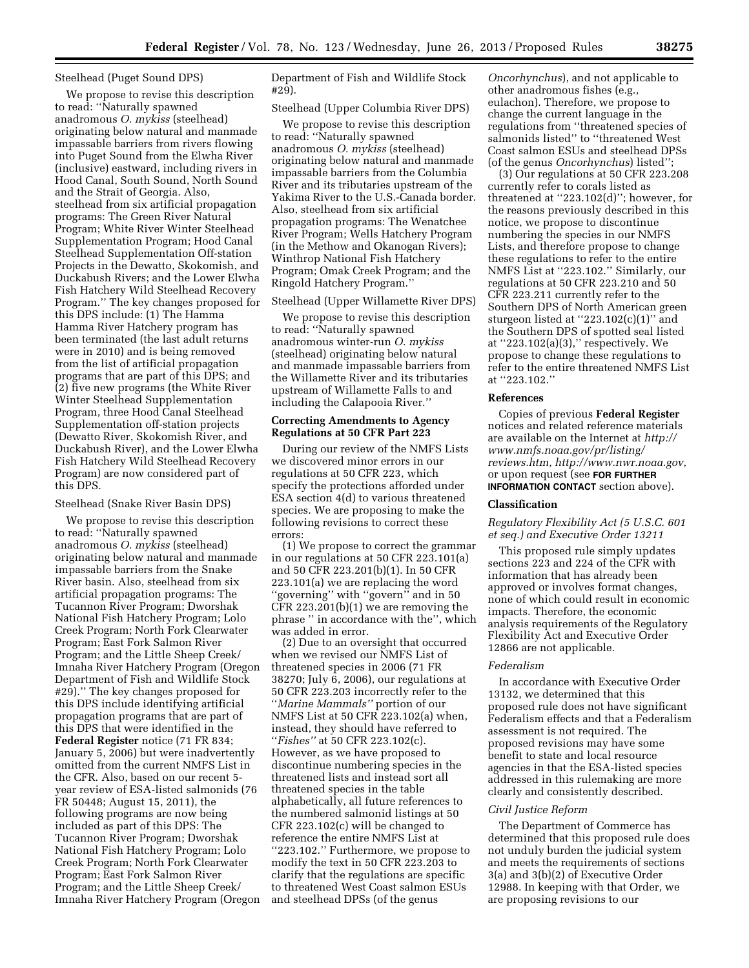### Steelhead (Puget Sound DPS)

We propose to revise this description to read: ''Naturally spawned anadromous *O. mykiss* (steelhead) originating below natural and manmade impassable barriers from rivers flowing into Puget Sound from the Elwha River (inclusive) eastward, including rivers in Hood Canal, South Sound, North Sound and the Strait of Georgia. Also, steelhead from six artificial propagation programs: The Green River Natural Program; White River Winter Steelhead Supplementation Program; Hood Canal Steelhead Supplementation Off-station Projects in the Dewatto, Skokomish, and Duckabush Rivers; and the Lower Elwha Fish Hatchery Wild Steelhead Recovery Program.'' The key changes proposed for this DPS include: (1) The Hamma Hamma River Hatchery program has been terminated (the last adult returns were in 2010) and is being removed from the list of artificial propagation programs that are part of this DPS; and (2) five new programs (the White River Winter Steelhead Supplementation Program, three Hood Canal Steelhead Supplementation off-station projects (Dewatto River, Skokomish River, and Duckabush River), and the Lower Elwha Fish Hatchery Wild Steelhead Recovery Program) are now considered part of this DPS.

#### Steelhead (Snake River Basin DPS)

We propose to revise this description to read: ''Naturally spawned anadromous *O. mykiss* (steelhead) originating below natural and manmade impassable barriers from the Snake River basin. Also, steelhead from six artificial propagation programs: The Tucannon River Program; Dworshak National Fish Hatchery Program; Lolo Creek Program; North Fork Clearwater Program; East Fork Salmon River Program; and the Little Sheep Creek/ Imnaha River Hatchery Program (Oregon Department of Fish and Wildlife Stock #29).'' The key changes proposed for this DPS include identifying artificial propagation programs that are part of this DPS that were identified in the **Federal Register** notice (71 FR 834; January 5, 2006) but were inadvertently omitted from the current NMFS List in the CFR. Also, based on our recent 5 year review of ESA-listed salmonids (76 FR 50448; August 15, 2011), the following programs are now being included as part of this DPS: The Tucannon River Program; Dworshak National Fish Hatchery Program; Lolo Creek Program; North Fork Clearwater Program; East Fork Salmon River Program; and the Little Sheep Creek/ Imnaha River Hatchery Program (Oregon Department of Fish and Wildlife Stock #29).

Steelhead (Upper Columbia River DPS)

We propose to revise this description to read: ''Naturally spawned anadromous *O. mykiss* (steelhead) originating below natural and manmade impassable barriers from the Columbia River and its tributaries upstream of the Yakima River to the U.S.-Canada border. Also, steelhead from six artificial propagation programs: The Wenatchee River Program; Wells Hatchery Program (in the Methow and Okanogan Rivers); Winthrop National Fish Hatchery Program; Omak Creek Program; and the Ringold Hatchery Program.''

# Steelhead (Upper Willamette River DPS)

We propose to revise this description to read: ''Naturally spawned anadromous winter-run *O. mykiss*  (steelhead) originating below natural and manmade impassable barriers from the Willamette River and its tributaries upstream of Willamette Falls to and including the Calapooia River.''

## **Correcting Amendments to Agency Regulations at 50 CFR Part 223**

During our review of the NMFS Lists we discovered minor errors in our regulations at 50 CFR 223, which specify the protections afforded under ESA section 4(d) to various threatened species. We are proposing to make the following revisions to correct these errors:

(1) We propose to correct the grammar in our regulations at 50 CFR 223.101(a) and 50 CFR 223.201(b)(1). In 50 CFR 223.101(a) we are replacing the word ''governing'' with ''govern'' and in 50 CFR 223.201(b)(1) we are removing the phrase '' in accordance with the'', which was added in error.

(2) Due to an oversight that occurred when we revised our NMFS List of threatened species in 2006 (71 FR 38270; July 6, 2006), our regulations at 50 CFR 223.203 incorrectly refer to the ''*Marine Mammals''* portion of our NMFS List at 50 CFR 223.102(a) when, instead, they should have referred to ''*Fishes''* at 50 CFR 223.102(c). However, as we have proposed to discontinue numbering species in the threatened lists and instead sort all threatened species in the table alphabetically, all future references to the numbered salmonid listings at 50 CFR 223.102(c) will be changed to reference the entire NMFS List at ''223.102.'' Furthermore, we propose to modify the text in 50 CFR 223.203 to clarify that the regulations are specific to threatened West Coast salmon ESUs and steelhead DPSs (of the genus

*Oncorhynchus*), and not applicable to other anadromous fishes (e.g., eulachon). Therefore, we propose to change the current language in the regulations from ''threatened species of salmonids listed'' to ''threatened West Coast salmon ESUs and steelhead DPSs (of the genus *Oncorhynchus*) listed'';

(3) Our regulations at 50 CFR 223.208 currently refer to corals listed as threatened at ''223.102(d)''; however, for the reasons previously described in this notice, we propose to discontinue numbering the species in our NMFS Lists, and therefore propose to change these regulations to refer to the entire NMFS List at ''223.102.'' Similarly, our regulations at 50 CFR 223.210 and 50 CFR 223.211 currently refer to the Southern DPS of North American green sturgeon listed at  $"223.102(c)(1)"$  and the Southern DPS of spotted seal listed at ''223.102(a)(3),'' respectively. We propose to change these regulations to refer to the entire threatened NMFS List at ''223.102.''

#### **References**

Copies of previous **Federal Register**  notices and related reference materials are available on the Internet at *[http://](http://www.nmfs.noaa.gov/pr/listing/reviews.htm) [www.nmfs.noaa.gov/pr/listing/](http://www.nmfs.noaa.gov/pr/listing/reviews.htm)  [reviews.htm,](http://www.nmfs.noaa.gov/pr/listing/reviews.htm) [http://www.nwr.noaa.gov,](http://www.nwr.noaa.gov)*  or upon request (see **FOR FURTHER INFORMATION CONTACT** section above).

#### **Classification**

# *Regulatory Flexibility Act (5 U.S.C. 601 et seq.) and Executive Order 13211*

This proposed rule simply updates sections 223 and 224 of the CFR with information that has already been approved or involves format changes, none of which could result in economic impacts. Therefore, the economic analysis requirements of the Regulatory Flexibility Act and Executive Order 12866 are not applicable.

### *Federalism*

In accordance with Executive Order 13132, we determined that this proposed rule does not have significant Federalism effects and that a Federalism assessment is not required. The proposed revisions may have some benefit to state and local resource agencies in that the ESA-listed species addressed in this rulemaking are more clearly and consistently described.

## *Civil Justice Reform*

The Department of Commerce has determined that this proposed rule does not unduly burden the judicial system and meets the requirements of sections 3(a) and 3(b)(2) of Executive Order 12988. In keeping with that Order, we are proposing revisions to our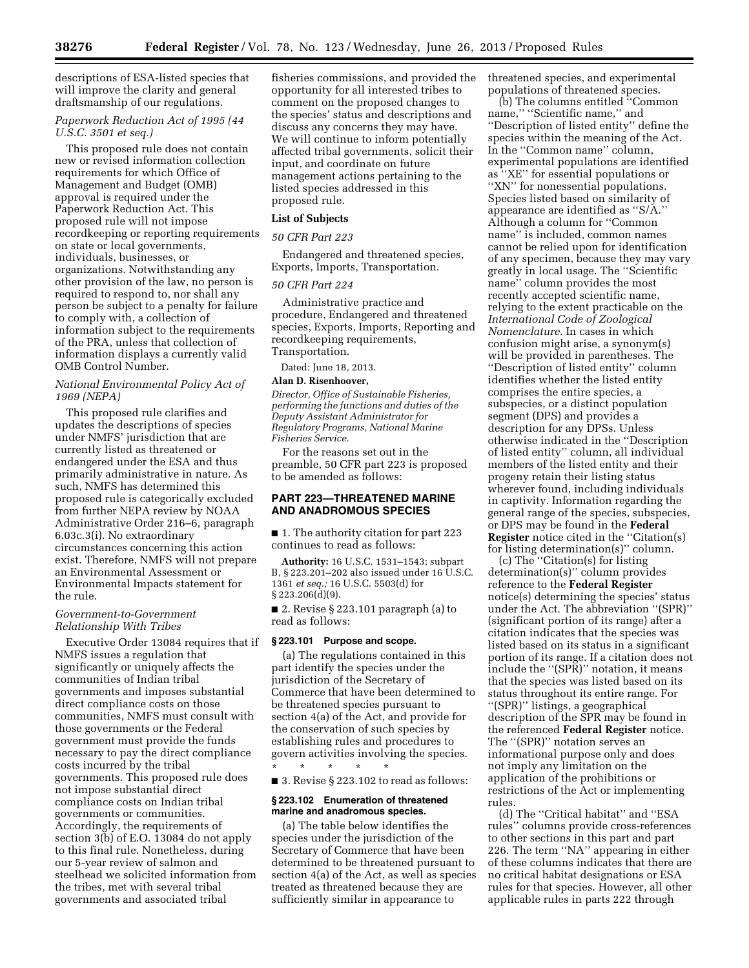descriptions of ESA-listed species that will improve the clarity and general draftsmanship of our regulations.

# *Paperwork Reduction Act of 1995 (44 U.S.C. 3501 et seq.)*

This proposed rule does not contain new or revised information collection requirements for which Office of Management and Budget (OMB) approval is required under the Paperwork Reduction Act. This proposed rule will not impose recordkeeping or reporting requirements on state or local governments, individuals, businesses, or organizations. Notwithstanding any other provision of the law, no person is required to respond to, nor shall any person be subject to a penalty for failure to comply with, a collection of information subject to the requirements of the PRA, unless that collection of information displays a currently valid OMB Control Number.

### *National Environmental Policy Act of 1969 (NEPA)*

This proposed rule clarifies and updates the descriptions of species under NMFS' jurisdiction that are currently listed as threatened or endangered under the ESA and thus primarily administrative in nature. As such, NMFS has determined this proposed rule is categorically excluded from further NEPA review by NOAA Administrative Order 216–6, paragraph 6.03c.3(i). No extraordinary circumstances concerning this action exist. Therefore, NMFS will not prepare an Environmental Assessment or Environmental Impacts statement for the rule.

## *Government-to-Government Relationship With Tribes*

Executive Order 13084 requires that if NMFS issues a regulation that significantly or uniquely affects the communities of Indian tribal governments and imposes substantial direct compliance costs on those communities, NMFS must consult with those governments or the Federal government must provide the funds necessary to pay the direct compliance costs incurred by the tribal governments. This proposed rule does not impose substantial direct compliance costs on Indian tribal governments or communities. Accordingly, the requirements of section 3(b) of E.O. 13084 do not apply to this final rule. Nonetheless, during our 5-year review of salmon and steelhead we solicited information from the tribes, met with several tribal governments and associated tribal

fisheries commissions, and provided the opportunity for all interested tribes to comment on the proposed changes to the species' status and descriptions and discuss any concerns they may have. We will continue to inform potentially affected tribal governments, solicit their input, and coordinate on future management actions pertaining to the listed species addressed in this proposed rule.

### **List of Subjects**

### *50 CFR Part 223*

Endangered and threatened species, Exports, Imports, Transportation.

### *50 CFR Part 224*

Administrative practice and procedure, Endangered and threatened species, Exports, Imports, Reporting and recordkeeping requirements, Transportation.

Dated: June 18, 2013.

# **Alan D. Risenhoover,**

*Director, Office of Sustainable Fisheries, performing the functions and duties of the Deputy Assistant Administrator for Regulatory Programs, National Marine Fisheries Service.* 

For the reasons set out in the preamble, 50 CFR part 223 is proposed to be amended as follows:

## **PART 223—THREATENED MARINE AND ANADROMOUS SPECIES**

■ 1. The authority citation for part 223 continues to read as follows:

**Authority:** 16 U.S.C. 1531–1543; subpart B, § 223.201–202 also issued under 16 U.S.C. 1361 *et seq.;* 16 U.S.C. 5503(d) for  $§ 223.206(\bar{d})(9).$ 

■ 2. Revise § 223.101 paragraph (a) to read as follows:

## **§ 223.101 Purpose and scope.**

(a) The regulations contained in this part identify the species under the jurisdiction of the Secretary of Commerce that have been determined to be threatened species pursuant to section 4(a) of the Act, and provide for the conservation of such species by establishing rules and procedures to govern activities involving the species. \* \* \* \* \*

■ 3. Revise § 223.102 to read as follows:

## **§ 223.102 Enumeration of threatened marine and anadromous species.**

(a) The table below identifies the species under the jurisdiction of the Secretary of Commerce that have been determined to be threatened pursuant to section 4(a) of the Act, as well as species treated as threatened because they are sufficiently similar in appearance to

threatened species, and experimental populations of threatened species.

(b) The columns entitled ''Common name," "Scientific name," and ''Description of listed entity'' define the species within the meaning of the Act. In the ''Common name'' column, experimental populations are identified as ''XE'' for essential populations or "XN" for nonessential populations. Species listed based on similarity of appearance are identified as ''S/A.'' Although a column for ''Common name'' is included, common names cannot be relied upon for identification of any specimen, because they may vary greatly in local usage. The ''Scientific name'' column provides the most recently accepted scientific name, relying to the extent practicable on the *International Code of Zoological Nomenclature.* In cases in which confusion might arise, a synonym(s) will be provided in parentheses. The ''Description of listed entity'' column identifies whether the listed entity comprises the entire species, a subspecies, or a distinct population segment (DPS) and provides a description for any DPSs. Unless otherwise indicated in the ''Description of listed entity'' column, all individual members of the listed entity and their progeny retain their listing status wherever found, including individuals in captivity. Information regarding the general range of the species, subspecies, or DPS may be found in the **Federal Register** notice cited in the ''Citation(s) for listing determination(s)'' column.

(c) The ''Citation(s) for listing determination(s)'' column provides reference to the **Federal Register**  notice(s) determining the species' status under the Act. The abbreviation ''(SPR)'' (significant portion of its range) after a citation indicates that the species was listed based on its status in a significant portion of its range. If a citation does not include the ''(SPR)'' notation, it means that the species was listed based on its status throughout its entire range. For ''(SPR)'' listings, a geographical description of the SPR may be found in the referenced **Federal Register** notice. The "(SPR)" notation serves an informational purpose only and does not imply any limitation on the application of the prohibitions or restrictions of the Act or implementing rules.

(d) The ''Critical habitat'' and ''ESA rules'' columns provide cross-references to other sections in this part and part 226. The term ''NA'' appearing in either of these columns indicates that there are no critical habitat designations or ESA rules for that species. However, all other applicable rules in parts 222 through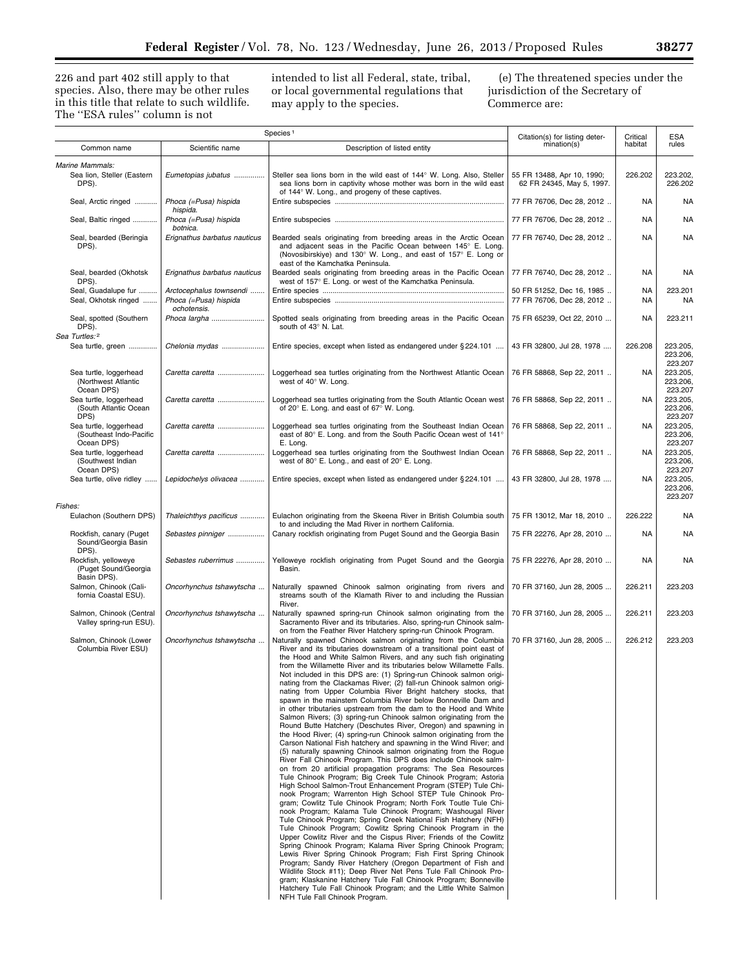226 and part 402 still apply to that species. Also, there may be other rules in this title that relate to such wildlife. The ''ESA rules'' column is not

intended to list all Federal, state, tribal, or local governmental regulations that may apply to the species.

(e) The threatened species under the jurisdiction of the Secretary of Commerce are:

| Species <sup>1</sup>                                            |                                                                 | Citation(s) for listing deter-                                                                                                                                                                                                                                                                                                                                                                                                                                                                                                                                                                                                                                                                                                                                                                                                                                                                                                                                                                                                                                                                                                                                                                                                                                                                                                                                                                                                                                                                                                                                                                                                                                                                                                                                                                                                                                                                                                                                                                                                                                                                                     | Critical                                                | <b>ESA</b> |                                 |
|-----------------------------------------------------------------|-----------------------------------------------------------------|--------------------------------------------------------------------------------------------------------------------------------------------------------------------------------------------------------------------------------------------------------------------------------------------------------------------------------------------------------------------------------------------------------------------------------------------------------------------------------------------------------------------------------------------------------------------------------------------------------------------------------------------------------------------------------------------------------------------------------------------------------------------------------------------------------------------------------------------------------------------------------------------------------------------------------------------------------------------------------------------------------------------------------------------------------------------------------------------------------------------------------------------------------------------------------------------------------------------------------------------------------------------------------------------------------------------------------------------------------------------------------------------------------------------------------------------------------------------------------------------------------------------------------------------------------------------------------------------------------------------------------------------------------------------------------------------------------------------------------------------------------------------------------------------------------------------------------------------------------------------------------------------------------------------------------------------------------------------------------------------------------------------------------------------------------------------------------------------------------------------|---------------------------------------------------------|------------|---------------------------------|
| Common name                                                     | Scientific name                                                 | Description of listed entity                                                                                                                                                                                                                                                                                                                                                                                                                                                                                                                                                                                                                                                                                                                                                                                                                                                                                                                                                                                                                                                                                                                                                                                                                                                                                                                                                                                                                                                                                                                                                                                                                                                                                                                                                                                                                                                                                                                                                                                                                                                                                       | mination(s)                                             | habitat    | rules                           |
| <b>Marine Mammals:</b><br>Sea lion, Steller (Eastern<br>DPS).   | Eumetopias jubatus                                              | Steller sea lions born in the wild east of 144° W. Long. Also, Steller<br>sea lions born in captivity whose mother was born in the wild east<br>of 144° W. Long., and progeny of these captives.                                                                                                                                                                                                                                                                                                                                                                                                                                                                                                                                                                                                                                                                                                                                                                                                                                                                                                                                                                                                                                                                                                                                                                                                                                                                                                                                                                                                                                                                                                                                                                                                                                                                                                                                                                                                                                                                                                                   | 55 FR 13488, Apr 10, 1990;<br>62 FR 24345, May 5, 1997. | 226.202    | 223.202.<br>226.202             |
| Seal, Arctic ringed                                             | Phoca (=Pusa) hispida<br>hispida.                               |                                                                                                                                                                                                                                                                                                                                                                                                                                                                                                                                                                                                                                                                                                                                                                                                                                                                                                                                                                                                                                                                                                                                                                                                                                                                                                                                                                                                                                                                                                                                                                                                                                                                                                                                                                                                                                                                                                                                                                                                                                                                                                                    | 77 FR 76706, Dec 28, 2012                               | NA         | <b>NA</b>                       |
| Seal, Baltic ringed                                             | Phoca (=Pusa) hispida<br>botnica.                               |                                                                                                                                                                                                                                                                                                                                                                                                                                                                                                                                                                                                                                                                                                                                                                                                                                                                                                                                                                                                                                                                                                                                                                                                                                                                                                                                                                                                                                                                                                                                                                                                                                                                                                                                                                                                                                                                                                                                                                                                                                                                                                                    | 77 FR 76706, Dec 28, 2012                               | NA         | NA                              |
| Seal, bearded (Beringia<br>DPS).                                | Erignathus barbatus nauticus                                    | Bearded seals originating from breeding areas in the Arctic Ocean<br>and adiacent seas in the Pacific Ocean between 145° E. Long.<br>(Novosibirskiye) and 130° W. Long., and east of 157° E. Long or<br>east of the Kamchatka Peninsula.                                                                                                                                                                                                                                                                                                                                                                                                                                                                                                                                                                                                                                                                                                                                                                                                                                                                                                                                                                                                                                                                                                                                                                                                                                                                                                                                                                                                                                                                                                                                                                                                                                                                                                                                                                                                                                                                           | 77 FR 76740, Dec 28, 2012                               | <b>NA</b>  | <b>NA</b>                       |
| Seal, bearded (Okhotsk<br>DPS).                                 | Erignathus barbatus nauticus                                    | Bearded seals originating from breeding areas in the Pacific Ocean<br>west of 157° E. Long. or west of the Kamchatka Peninsula.                                                                                                                                                                                                                                                                                                                                                                                                                                                                                                                                                                                                                                                                                                                                                                                                                                                                                                                                                                                                                                                                                                                                                                                                                                                                                                                                                                                                                                                                                                                                                                                                                                                                                                                                                                                                                                                                                                                                                                                    | 77 FR 76740, Dec 28, 2012                               | <b>NA</b>  | <b>NA</b>                       |
| Seal, Guadalupe fur<br>Seal, Okhotsk ringed                     | Arctocephalus townsendi<br>Phoca (=Pusa) hispida<br>ochotensis. |                                                                                                                                                                                                                                                                                                                                                                                                                                                                                                                                                                                                                                                                                                                                                                                                                                                                                                                                                                                                                                                                                                                                                                                                                                                                                                                                                                                                                                                                                                                                                                                                                                                                                                                                                                                                                                                                                                                                                                                                                                                                                                                    | 50 FR 51252, Dec 16, 1985<br>77 FR 76706, Dec 28, 2012  | NA<br>NA   | 223.201<br><b>NA</b>            |
| Seal, spotted (Southern<br>DPS).                                | Phoca largha                                                    | Spotted seals originating from breeding areas in the Pacific Ocean<br>south of 43° N. Lat.                                                                                                                                                                                                                                                                                                                                                                                                                                                                                                                                                                                                                                                                                                                                                                                                                                                                                                                                                                                                                                                                                                                                                                                                                                                                                                                                                                                                                                                                                                                                                                                                                                                                                                                                                                                                                                                                                                                                                                                                                         | 75 FR 65239, Oct 22, 2010                               | <b>NA</b>  | 223.211                         |
| Sea Turtles: <sup>2</sup><br>Sea turtle, green                  | Chelonia mydas                                                  | Entire species, except when listed as endangered under §224.101                                                                                                                                                                                                                                                                                                                                                                                                                                                                                                                                                                                                                                                                                                                                                                                                                                                                                                                                                                                                                                                                                                                                                                                                                                                                                                                                                                                                                                                                                                                                                                                                                                                                                                                                                                                                                                                                                                                                                                                                                                                    | 43 FR 32800, Jul 28, 1978                               | 226.208    | 223.205.<br>223.206.<br>223.207 |
| Sea turtle, loggerhead<br>(Northwest Atlantic<br>Ocean DPS)     | Caretta caretta                                                 | Loggerhead sea turtles originating from the Northwest Atlantic Ocean<br>west of 40° W. Long.                                                                                                                                                                                                                                                                                                                                                                                                                                                                                                                                                                                                                                                                                                                                                                                                                                                                                                                                                                                                                                                                                                                                                                                                                                                                                                                                                                                                                                                                                                                                                                                                                                                                                                                                                                                                                                                                                                                                                                                                                       | 76 FR 58868, Sep 22, 2011                               | NA         | 223.205,<br>223.206,<br>223.207 |
| Sea turtle, loggerhead<br>(South Atlantic Ocean<br>DPS)         | Caretta caretta                                                 | Loggerhead sea turtles originating from the South Atlantic Ocean west<br>of 20° E. Long. and east of 67° W. Long.                                                                                                                                                                                                                                                                                                                                                                                                                                                                                                                                                                                                                                                                                                                                                                                                                                                                                                                                                                                                                                                                                                                                                                                                                                                                                                                                                                                                                                                                                                                                                                                                                                                                                                                                                                                                                                                                                                                                                                                                  | 76 FR 58868, Sep 22, 2011                               | NA         | 223.205<br>223.206.<br>223.207  |
| Sea turtle, loggerhead<br>(Southeast Indo-Pacific<br>Ocean DPS) | Caretta caretta                                                 | Loggerhead sea turtles originating from the Southeast Indian Ocean<br>east of 80° E. Long. and from the South Pacific Ocean west of 141°<br>E. Long.                                                                                                                                                                                                                                                                                                                                                                                                                                                                                                                                                                                                                                                                                                                                                                                                                                                                                                                                                                                                                                                                                                                                                                                                                                                                                                                                                                                                                                                                                                                                                                                                                                                                                                                                                                                                                                                                                                                                                               | 76 FR 58868, Sep 22, 2011                               | <b>NA</b>  | 223.205.<br>223.206<br>223.207  |
| Sea turtle, loggerhead<br>(Southwest Indian<br>Ocean DPS)       | Caretta caretta                                                 | Loggerhead sea turtles originating from the Southwest Indian Ocean<br>west of 80° E. Long., and east of 20° E. Long.                                                                                                                                                                                                                                                                                                                                                                                                                                                                                                                                                                                                                                                                                                                                                                                                                                                                                                                                                                                                                                                                                                                                                                                                                                                                                                                                                                                                                                                                                                                                                                                                                                                                                                                                                                                                                                                                                                                                                                                               | 76 FR 58868, Sep 22, 2011                               | NA         | 223.205.<br>223.206.<br>223.207 |
| Sea turtle, olive ridley                                        | Lepidochelys olivacea                                           | Entire species, except when listed as endangered under §224.101                                                                                                                                                                                                                                                                                                                                                                                                                                                                                                                                                                                                                                                                                                                                                                                                                                                                                                                                                                                                                                                                                                                                                                                                                                                                                                                                                                                                                                                                                                                                                                                                                                                                                                                                                                                                                                                                                                                                                                                                                                                    | 43 FR 32800, Jul 28, 1978                               | <b>NA</b>  | 223.205,<br>223.206,<br>223.207 |
| Fishes:<br>Eulachon (Southern DPS)                              | Thaleichthys pacificus                                          | Eulachon originating from the Skeena River in British Columbia south<br>to and including the Mad River in northern California.                                                                                                                                                                                                                                                                                                                                                                                                                                                                                                                                                                                                                                                                                                                                                                                                                                                                                                                                                                                                                                                                                                                                                                                                                                                                                                                                                                                                                                                                                                                                                                                                                                                                                                                                                                                                                                                                                                                                                                                     | 75 FR 13012, Mar 18, 2010                               | 226.222    | NA                              |
| Rockfish, canary (Puget<br>Sound/Georgia Basin<br>DPS).         | Sebastes pinniger                                               | Canary rockfish originating from Puget Sound and the Georgia Basin                                                                                                                                                                                                                                                                                                                                                                                                                                                                                                                                                                                                                                                                                                                                                                                                                                                                                                                                                                                                                                                                                                                                                                                                                                                                                                                                                                                                                                                                                                                                                                                                                                                                                                                                                                                                                                                                                                                                                                                                                                                 | 75 FR 22276, Apr 28, 2010                               | NA         | <b>NA</b>                       |
| Rockfish, yelloweye<br>(Puget Sound/Georgia<br>Basin DPS).      | Sebastes ruberrimus                                             | Yelloweye rockfish originating from Puget Sound and the Georgia<br>Basin.                                                                                                                                                                                                                                                                                                                                                                                                                                                                                                                                                                                                                                                                                                                                                                                                                                                                                                                                                                                                                                                                                                                                                                                                                                                                                                                                                                                                                                                                                                                                                                                                                                                                                                                                                                                                                                                                                                                                                                                                                                          | 75 FR 22276, Apr 28, 2010                               | <b>NA</b>  | NA                              |
| Salmon, Chinook (Cali-<br>fornia Coastal ESU).                  | Oncorhynchus tshawytscha                                        | Naturally spawned Chinook salmon originating from rivers and<br>streams south of the Klamath River to and including the Russian<br>River.                                                                                                                                                                                                                                                                                                                                                                                                                                                                                                                                                                                                                                                                                                                                                                                                                                                                                                                                                                                                                                                                                                                                                                                                                                                                                                                                                                                                                                                                                                                                                                                                                                                                                                                                                                                                                                                                                                                                                                          | 70 FR 37160, Jun 28, 2005                               | 226.211    | 223.203                         |
| Salmon, Chinook (Central<br>Valley spring-run ESU).             | Oncorhynchus tshawytscha                                        | Naturally spawned spring-run Chinook salmon originating from the<br>Sacramento River and its tributaries. Also, spring-run Chinook salm-<br>on from the Feather River Hatchery spring-run Chinook Program.                                                                                                                                                                                                                                                                                                                                                                                                                                                                                                                                                                                                                                                                                                                                                                                                                                                                                                                                                                                                                                                                                                                                                                                                                                                                                                                                                                                                                                                                                                                                                                                                                                                                                                                                                                                                                                                                                                         | 70 FR 37160, Jun 28, 2005                               | 226.211    | 223.203                         |
| Salmon, Chinook (Lower<br>Columbia River ESU)                   | Oncorhynchus tshawytscha                                        | Naturally spawned Chinook salmon originating from the Columbia<br>River and its tributaries downstream of a transitional point east of<br>the Hood and White Salmon Rivers, and any such fish originating<br>from the Willamette River and its tributaries below Willamette Falls.<br>Not included in this DPS are: (1) Spring-run Chinook salmon origi-<br>nating from the Clackamas River; (2) fall-run Chinook salmon origi-<br>nating from Upper Columbia River Bright hatchery stocks, that<br>spawn in the mainstem Columbia River below Bonneville Dam and<br>in other tributaries upstream from the dam to the Hood and White<br>Salmon Rivers; (3) spring-run Chinook salmon originating from the<br>Round Butte Hatchery (Deschutes River, Oregon) and spawning in<br>the Hood River; (4) spring-run Chinook salmon originating from the<br>Carson National Fish hatchery and spawning in the Wind River; and<br>(5) naturally spawning Chinook salmon originating from the Rogue<br>River Fall Chinook Program. This DPS does include Chinook salm-<br>on from 20 artificial propagation programs: The Sea Resources<br>Tule Chinook Program; Big Creek Tule Chinook Program; Astoria<br>High School Salmon-Trout Enhancement Program (STEP) Tule Chi-<br>nook Program; Warrenton High School STEP Tule Chinook Pro-<br>gram; Cowlitz Tule Chinook Program; North Fork Toutle Tule Chi-<br>nook Program; Kalama Tule Chinook Program; Washougal River<br>Tule Chinook Program; Spring Creek National Fish Hatchery (NFH)<br>Tule Chinook Program; Cowlitz Spring Chinook Program in the<br>Upper Cowlitz River and the Cispus River; Friends of the Cowlitz<br>Spring Chinook Program; Kalama River Spring Chinook Program;<br>Lewis River Spring Chinook Program; Fish First Spring Chinook<br>Program; Sandy River Hatchery (Oregon Department of Fish and<br>Wildlife Stock #11); Deep River Net Pens Tule Fall Chinook Pro-<br>gram; Klaskanine Hatchery Tule Fall Chinook Program; Bonneville<br>Hatchery Tule Fall Chinook Program; and the Little White Salmon<br>NFH Tule Fall Chinook Program. | 70 FR 37160, Jun 28, 2005                               | 226.212    | 223.203                         |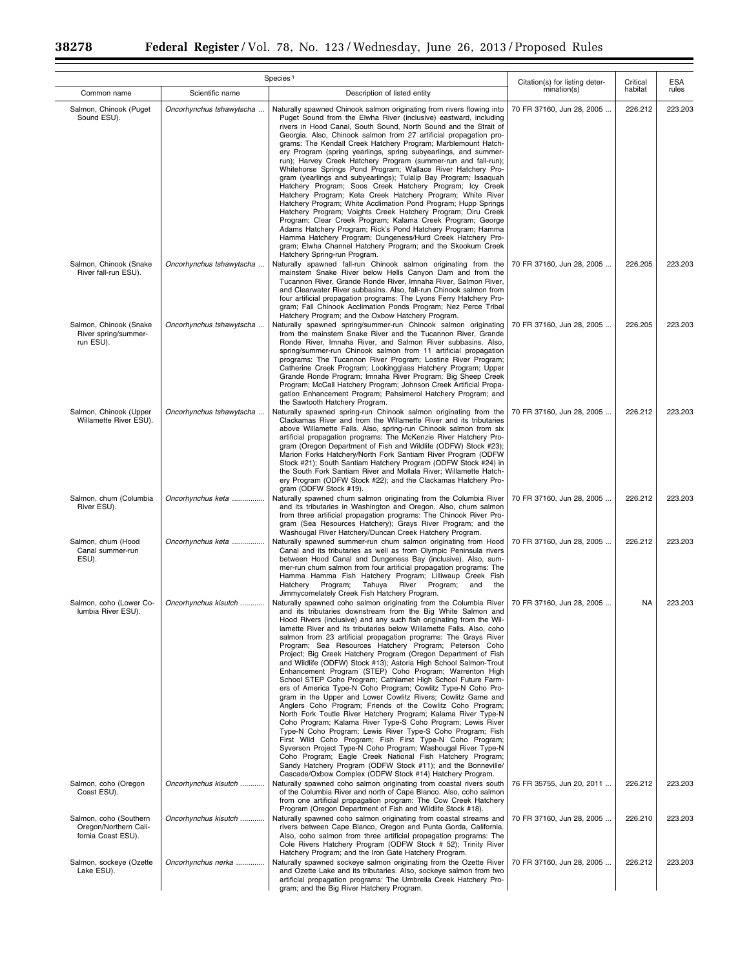$\equiv$ 

 $\equiv$ 

|                                                                       | Species <sup>1</sup>     |                                                                                                                                                                                                                                                                                                                                                                                                                                                                                                                                                                                                                                                                                                                                                                                                                                                                                                                                                                                                                                                                                                                                                                                                                                                                                                                                                                                                 |                                               | Critical | <b>ESA</b> |
|-----------------------------------------------------------------------|--------------------------|-------------------------------------------------------------------------------------------------------------------------------------------------------------------------------------------------------------------------------------------------------------------------------------------------------------------------------------------------------------------------------------------------------------------------------------------------------------------------------------------------------------------------------------------------------------------------------------------------------------------------------------------------------------------------------------------------------------------------------------------------------------------------------------------------------------------------------------------------------------------------------------------------------------------------------------------------------------------------------------------------------------------------------------------------------------------------------------------------------------------------------------------------------------------------------------------------------------------------------------------------------------------------------------------------------------------------------------------------------------------------------------------------|-----------------------------------------------|----------|------------|
| Common name                                                           | Scientific name          | Description of listed entity                                                                                                                                                                                                                                                                                                                                                                                                                                                                                                                                                                                                                                                                                                                                                                                                                                                                                                                                                                                                                                                                                                                                                                                                                                                                                                                                                                    | Citation(s) for listing deter-<br>mination(s) | habitat  | rules      |
| Salmon, Chinook (Puget<br>Sound ESU).                                 | Oncorhynchus tshawytscha | Naturally spawned Chinook salmon originating from rivers flowing into<br>Puget Sound from the Elwha River (inclusive) eastward, including<br>rivers in Hood Canal, South Sound, North Sound and the Strait of<br>Georgia. Also, Chinook salmon from 27 artificial propagation pro-<br>grams: The Kendall Creek Hatchery Program; Marblemount Hatch-<br>ery Program (spring yearlings, spring subyearlings, and summer-<br>run); Harvey Creek Hatchery Program (summer-run and fall-run);<br>Whitehorse Springs Pond Program; Wallace River Hatchery Pro-<br>gram (yearlings and subyearlings); Tulalip Bay Program; Issaquah<br>Hatchery Program; Soos Creek Hatchery Program; Icy Creek<br>Hatchery Program; Keta Creek Hatchery Program; White River<br>Hatchery Program; White Acclimation Pond Program; Hupp Springs<br>Hatchery Program; Voights Creek Hatchery Program; Diru Creek<br>Program; Clear Creek Program; Kalama Creek Program; George<br>Adams Hatchery Program; Rick's Pond Hatchery Program; Hamma<br>Hamma Hatchery Program; Dungeness/Hurd Creek Hatchery Pro-<br>gram; Elwha Channel Hatchery Program; and the Skookum Creek<br>Hatchery Spring-run Program.                                                                                                                                                                                                              | 70 FR 37160, Jun 28, 2005                     | 226.212  | 223.203    |
| Salmon, Chinook (Snake<br>River fall-run ESU).                        | Oncorhynchus tshawytscha | Naturally spawned fall-run Chinook salmon originating from the<br>mainstem Snake River below Hells Canyon Dam and from the<br>Tucannon River, Grande Ronde River, Imnaha River, Salmon River,<br>and Clearwater River subbasins. Also, fall-run Chinook salmon from<br>four artificial propagation programs: The Lyons Ferry Hatchery Pro-<br>gram; Fall Chinook Acclimation Ponds Program; Nez Perce Tribal<br>Hatchery Program; and the Oxbow Hatchery Program.                                                                                                                                                                                                                                                                                                                                                                                                                                                                                                                                                                                                                                                                                                                                                                                                                                                                                                                               | 70 FR 37160, Jun 28, 2005                     | 226.205  | 223.203    |
| Salmon, Chinook (Snake)<br>River spring/summer-<br>run ESU).          | Oncorhynchus tshawytscha | Naturally spawned spring/summer-run Chinook salmon originating<br>from the mainstem Snake River and the Tucannon River, Grande<br>Ronde River, Imnaha River, and Salmon River subbasins. Also,<br>spring/summer-run Chinook salmon from 11 artificial propagation<br>programs: The Tucannon River Program; Lostine River Program;<br>Catherine Creek Program; Lookingglass Hatchery Program; Upper<br>Grande Ronde Program; Imnaha River Program; Big Sheep Creek<br>Program; McCall Hatchery Program; Johnson Creek Artificial Propa-<br>gation Enhancement Program; Pahsimeroi Hatchery Program; and<br>the Sawtooth Hatchery Program.                                                                                                                                                                                                                                                                                                                                                                                                                                                                                                                                                                                                                                                                                                                                                        | 70 FR 37160, Jun 28, 2005                     | 226.205  | 223.203    |
| Salmon, Chinook (Upper<br>Willamette River ESU).                      | Oncorhynchus tshawytscha | Naturally spawned spring-run Chinook salmon originating from the<br>Clackamas River and from the Willamette River and its tributaries<br>above Willamette Falls. Also, spring-run Chinook salmon from six<br>artificial propagation programs: The McKenzie River Hatchery Pro-<br>gram (Oregon Department of Fish and Wildlife (ODFW) Stock #23);<br>Marion Forks Hatchery/North Fork Santiam River Program (ODFW<br>Stock #21); South Santiam Hatchery Program (ODFW Stock #24) in<br>the South Fork Santiam River and Mollala River; Willamette Hatch-<br>ery Program (ODFW Stock #22); and the Clackamas Hatchery Pro-<br>gram (ODFW Stock #19).                                                                                                                                                                                                                                                                                                                                                                                                                                                                                                                                                                                                                                                                                                                                             | 70 FR 37160, Jun 28, 2005                     | 226.212  | 223.203    |
| Salmon, chum (Columbia<br>River ESU).                                 | Oncorhynchus keta        | Naturally spawned chum salmon originating from the Columbia River<br>and its tributaries in Washington and Oregon. Also, chum salmon<br>from three artificial propagation programs: The Chinook River Pro-<br>gram (Sea Resources Hatchery); Grays River Program; and the<br>Washougal River Hatchery/Duncan Creek Hatchery Program.                                                                                                                                                                                                                                                                                                                                                                                                                                                                                                                                                                                                                                                                                                                                                                                                                                                                                                                                                                                                                                                            | 70 FR 37160, Jun 28, 2005                     | 226.212  | 223.203    |
| Salmon, chum (Hood<br>Canal summer-run<br>ESU).                       | Oncorhynchus keta        | Naturally spawned summer-run chum salmon originating from Hood<br>Canal and its tributaries as well as from Olympic Peninsula rivers<br>between Hood Canal and Dungeness Bay (inclusive). Also, sum-<br>mer-run chum salmon from four artificial propagation programs: The<br>Hamma Hamma Fish Hatchery Program; Lilliwaup Creek Fish<br>Hatchery Program; Tahuya River Program; and<br>the<br>Jimmycomelately Creek Fish Hatchery Program.                                                                                                                                                                                                                                                                                                                                                                                                                                                                                                                                                                                                                                                                                                                                                                                                                                                                                                                                                     | 70 FR 37160, Jun 28, 2005                     | 226.212  | 223,203    |
| Salmon, coho (Lower Co-<br>lumbia River ESU).                         | Oncorhynchus kisutch     | Naturally spawned coho salmon originating from the Columbia River<br>and its tributaries downstream from the Big White Salmon and<br>Hood Rivers (inclusive) and any such fish originating from the Wil-<br>lamette River and its tributaries below Willamette Falls. Also, coho<br>salmon from 23 artificial propagation programs: The Grays River<br>Program; Sea Resources Hatchery Program; Peterson Coho<br>Project; Big Creek Hatchery Program (Oregon Department of Fish<br>and Wildlife (ODFW) Stock #13); Astoria High School Salmon-Trout<br>Enhancement Program (STEP) Coho Program; Warrenton High<br>School STEP Coho Program; Cathlamet High School Future Farm-<br>ers of America Type-N Coho Program; Cowlitz Type-N Coho Pro-<br>gram in the Upper and Lower Cowlitz Rivers; Cowlitz Game and<br>Anglers Coho Program; Friends of the Cowlitz Coho Program;<br>North Fork Toutle River Hatchery Program; Kalama River Type-N<br>Coho Program; Kalama River Type-S Coho Program; Lewis River<br>Type-N Coho Program; Lewis River Type-S Coho Program; Fish<br>First Wild Coho Program; Fish First Type-N Coho Program;<br>Syverson Project Type-N Coho Program; Washougal River Type-N<br>Coho Program; Eagle Creek National Fish Hatchery Program;<br>Sandy Hatchery Program (ODFW Stock #11); and the Bonneville/<br>Cascade/Oxbow Complex (ODFW Stock #14) Hatchery Program. | 70 FR 37160, Jun 28, 2005                     | NA       | 223.203    |
| Salmon, coho (Oregon<br>Coast ESU).                                   | Oncorhynchus kisutch     | Naturally spawned coho salmon originating from coastal rivers south<br>of the Columbia River and north of Cape Blanco. Also, coho salmon<br>from one artificial propagation program: The Cow Creek Hatchery<br>Program (Oregon Department of Fish and Wildlife Stock #18).                                                                                                                                                                                                                                                                                                                                                                                                                                                                                                                                                                                                                                                                                                                                                                                                                                                                                                                                                                                                                                                                                                                      | 76 FR 35755, Jun 20, 2011                     | 226.212  | 223.203    |
| Salmon, coho (Southern<br>Oregon/Northern Cali-<br>fornia Coast ESU). | Oncorhynchus kisutch     | Naturally spawned coho salmon originating from coastal streams and<br>rivers between Cape Blanco, Oregon and Punta Gorda, California.<br>Also, coho salmon from three artificial propagation programs: The<br>Cole Rivers Hatchery Program (ODFW Stock # 52); Trinity River<br>Hatchery Program; and the Iron Gate Hatchery Program.                                                                                                                                                                                                                                                                                                                                                                                                                                                                                                                                                                                                                                                                                                                                                                                                                                                                                                                                                                                                                                                            | 70 FR 37160, Jun 28, 2005                     | 226.210  | 223.203    |
| Salmon, sockeye (Ozette<br>Lake ESU).                                 | Oncorhynchus nerka       | Naturally spawned sockeye salmon originating from the Ozette River<br>and Ozette Lake and its tributaries. Also, sockeye salmon from two<br>artificial propagation programs: The Umbrella Creek Hatchery Pro-<br>gram; and the Big River Hatchery Program.                                                                                                                                                                                                                                                                                                                                                                                                                                                                                                                                                                                                                                                                                                                                                                                                                                                                                                                                                                                                                                                                                                                                      | 70 FR 37160, Jun 28, 2005                     | 226.212  | 223.203    |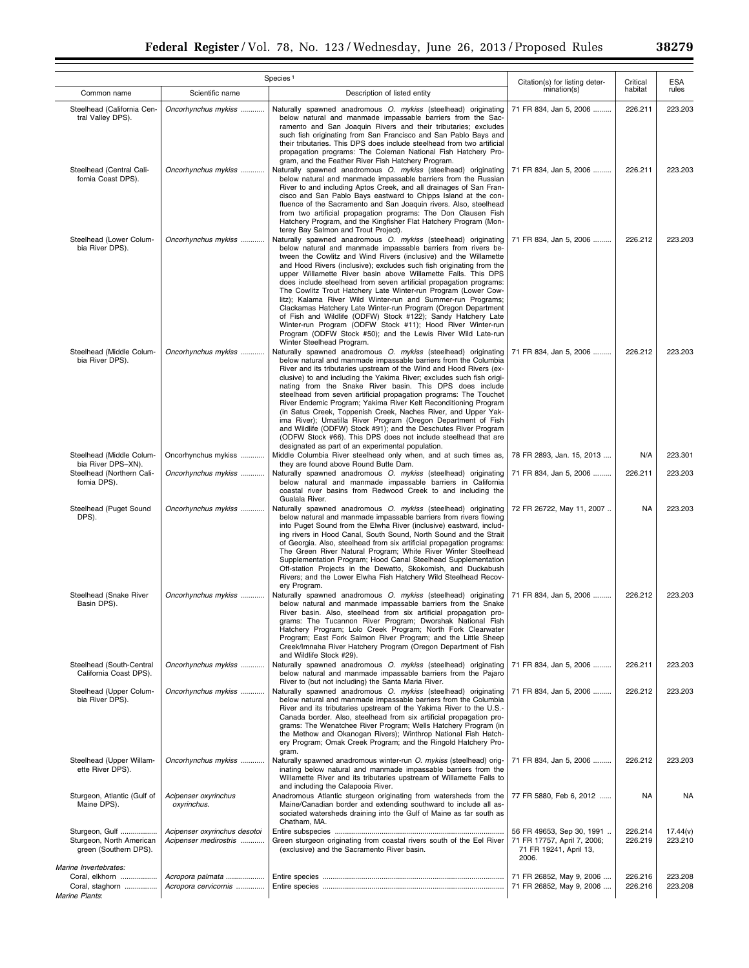|                                                                                              |                                                       | Species <sup>1</sup>                                                                                                                                                                                                                                                                                                                                                                                                                                                                                                                                                                                                                                                                                                                                                                                                                            | Citation(s) for listing deter-                                                              | Critical           | ESA                 |
|----------------------------------------------------------------------------------------------|-------------------------------------------------------|-------------------------------------------------------------------------------------------------------------------------------------------------------------------------------------------------------------------------------------------------------------------------------------------------------------------------------------------------------------------------------------------------------------------------------------------------------------------------------------------------------------------------------------------------------------------------------------------------------------------------------------------------------------------------------------------------------------------------------------------------------------------------------------------------------------------------------------------------|---------------------------------------------------------------------------------------------|--------------------|---------------------|
| Common name                                                                                  | Scientific name                                       | Description of listed entity                                                                                                                                                                                                                                                                                                                                                                                                                                                                                                                                                                                                                                                                                                                                                                                                                    | mination(s)                                                                                 | habitat            | rules               |
| Steelhead (California Cen-<br>tral Valley DPS).                                              | Oncorhynchus mykiss                                   | Naturally spawned anadromous O. mykiss (steelhead) originating<br>below natural and manmade impassable barriers from the Sac-<br>ramento and San Joaquin Rivers and their tributaries; excludes<br>such fish originating from San Francisco and San Pablo Bays and<br>their tributaries. This DPS does include steelhead from two artificial<br>propagation programs: The Coleman National Fish Hatchery Pro-<br>gram, and the Feather River Fish Hatchery Program.                                                                                                                                                                                                                                                                                                                                                                             | 71 FR 834, Jan 5, 2006                                                                      | 226.211            | 223.203             |
| Steelhead (Central Cali-<br>fornia Coast DPS).                                               | Oncorhynchus mykiss                                   | Naturally spawned anadromous O. mykiss (steelhead) originating<br>below natural and manmade impassable barriers from the Russian<br>River to and including Aptos Creek, and all drainages of San Fran-<br>cisco and San Pablo Bays eastward to Chipps Island at the con-<br>fluence of the Sacramento and San Joaquin rivers. Also, steelhead<br>from two artificial propagation programs: The Don Clausen Fish<br>Hatchery Program, and the Kingfisher Flat Hatchery Program (Mon-<br>terey Bay Salmon and Trout Project).                                                                                                                                                                                                                                                                                                                     | 71 FR 834, Jan 5, 2006                                                                      | 226.211            | 223.203             |
| Steelhead (Lower Colum-<br>bia River DPS).                                                   | Oncorhynchus mykiss                                   | Naturally spawned anadromous O. mykiss (steelhead) originating<br>below natural and manmade impassable barriers from rivers be-<br>tween the Cowlitz and Wind Rivers (inclusive) and the Willamette<br>and Hood Rivers (inclusive); excludes such fish originating from the<br>upper Willamette River basin above Willamette Falls. This DPS<br>does include steelhead from seven artificial propagation programs:<br>The Cowlitz Trout Hatchery Late Winter-run Program (Lower Cow-<br>litz); Kalama River Wild Winter-run and Summer-run Programs;<br>Clackamas Hatchery Late Winter-run Program (Oregon Department<br>of Fish and Wildlife (ODFW) Stock #122); Sandy Hatchery Late<br>Winter-run Program (ODFW Stock #11); Hood River Winter-run<br>Program (ODFW Stock #50); and the Lewis River Wild Late-run<br>Winter Steelhead Program. | 71 FR 834, Jan 5, 2006                                                                      | 226.212            | 223.203             |
| Steelhead (Middle Colum-<br>bia River DPS).                                                  | Oncorhynchus mykiss                                   | Naturally spawned anadromous O. mykiss (steelhead) originating<br>below natural and manmade impassable barriers from the Columbia<br>River and its tributaries upstream of the Wind and Hood Rivers (ex-<br>clusive) to and including the Yakima River; excludes such fish origi-<br>nating from the Snake River basin. This DPS does include<br>steelhead from seven artificial propagation programs: The Touchet<br>River Endemic Program; Yakima River Kelt Reconditioning Program<br>(in Satus Creek, Toppenish Creek, Naches River, and Upper Yak-<br>ima River); Umatilla River Program (Oregon Department of Fish<br>and Wildlife (ODFW) Stock #91); and the Deschutes River Program<br>(ODFW Stock #66). This DPS does not include steelhead that are<br>designated as part of an experimental population.                              | 71 FR 834, Jan 5, 2006                                                                      | 226.212            | 223.203             |
| Steelhead (Middle Colum-<br>bia River DPS-XN).                                               | Oncorhynchus mykiss                                   | Middle Columbia River steelhead only when, and at such times as,<br>they are found above Round Butte Dam.                                                                                                                                                                                                                                                                                                                                                                                                                                                                                                                                                                                                                                                                                                                                       | 78 FR 2893, Jan. 15, 2013                                                                   | N/A                | 223.301             |
| Steelhead (Northern Cali-<br>fornia DPS).                                                    | Oncorhynchus mykiss                                   | Naturally spawned anadromous O. mykiss (steelhead) originating<br>below natural and manmade impassable barriers in California<br>coastal river basins from Redwood Creek to and including the<br>Gualala River.                                                                                                                                                                                                                                                                                                                                                                                                                                                                                                                                                                                                                                 | 71 FR 834, Jan 5, 2006                                                                      | 226.211            | 223.203             |
| Steelhead (Puget Sound<br>DPS).                                                              | Oncorhynchus mykiss                                   | Naturally spawned anadromous O. mykiss (steelhead) originating<br>below natural and manmade impassable barriers from rivers flowing<br>into Puget Sound from the Elwha River (inclusive) eastward, includ-<br>ing rivers in Hood Canal, South Sound, North Sound and the Strait<br>of Georgia. Also, steelhead from six artificial propagation programs:<br>The Green River Natural Program; White River Winter Steelhead<br>Supplementation Program; Hood Canal Steelhead Supplementation<br>Off-station Projects in the Dewatto, Skokomish, and Duckabush<br>Rivers; and the Lower Elwha Fish Hatchery Wild Steelhead Recov-<br>ery Program.                                                                                                                                                                                                  | 72 FR 26722, May 11, 2007                                                                   | <b>NA</b>          | 223.203             |
| Steelhead (Snake River<br>Basin DPS).                                                        | Oncorhynchus mykiss                                   | Naturally spawned anadromous O. mykiss (steelhead) originating<br>below natural and manmade impassable barriers from the Snake<br>River basin. Also, steelhead from six artificial propagation pro-<br>grams: The Tucannon River Program; Dworshak National Fish<br>Hatchery Program; Lolo Creek Program; North Fork Clearwater<br>Program; East Fork Salmon River Program; and the Little Sheep<br>Creek/Imnaha River Hatchery Program (Oregon Department of Fish<br>and Wildlife Stock #29).                                                                                                                                                                                                                                                                                                                                                  | 71 FR 834, Jan 5, 2006                                                                      | 226.212            | 223.203             |
| Steelhead (South-Central<br>California Coast DPS).                                           | Oncorhynchus mykiss                                   | Naturally spawned anadromous O. mykiss (steelhead) originating<br>below natural and manmade impassable barriers from the Pajaro<br>River to (but not including) the Santa Maria River.                                                                                                                                                                                                                                                                                                                                                                                                                                                                                                                                                                                                                                                          | 71 FR 834, Jan 5, 2006                                                                      | 226.211            | 223.203             |
| Steelhead (Upper Colum-<br>bia River DPS).                                                   | Oncorhynchus mykiss                                   | Naturally spawned anadromous O. mykiss (steelhead) originating<br>below natural and manmade impassable barriers from the Columbia<br>River and its tributaries upstream of the Yakima River to the U.S.-<br>Canada border. Also, steelhead from six artificial propagation pro-<br>grams: The Wenatchee River Program: Wells Hatchery Program (in<br>the Methow and Okanogan Rivers); Winthrop National Fish Hatch-<br>ery Program; Omak Creek Program; and the Ringold Hatchery Pro-<br>gram.                                                                                                                                                                                                                                                                                                                                                  | 71 FR 834, Jan 5, 2006                                                                      | 226.212            | 223,203             |
| Steelhead (Upper Willam-<br>ette River DPS).                                                 | Oncorhynchus mykiss                                   | Naturally spawned anadromous winter-run O. mykiss (steelhead) orig-<br>inating below natural and manmade impassable barriers from the<br>Willamette River and its tributaries upstream of Willamette Falls to<br>and including the Calapooia River.                                                                                                                                                                                                                                                                                                                                                                                                                                                                                                                                                                                             | 71 FR 834, Jan 5, 2006                                                                      | 226.212            | 223.203             |
| Sturgeon, Atlantic (Gulf of<br>Maine DPS).                                                   | Acipenser oxyrinchus<br>oxyrinchus.                   | Anadromous Atlantic sturgeon originating from watersheds from the<br>Maine/Canadian border and extending southward to include all as-<br>sociated watersheds draining into the Gulf of Maine as far south as<br>Chatham, MA.                                                                                                                                                                                                                                                                                                                                                                                                                                                                                                                                                                                                                    | 77 FR 5880, Feb 6, 2012                                                                     | <b>NA</b>          | <b>NA</b>           |
| Sturgeon, Gulf<br>Sturgeon, North American<br>green (Southern DPS).<br>Marine Invertebrates: | Acipenser oxyrinchus desotoi<br>Acipenser medirostris | Green sturgeon originating from coastal rivers south of the Eel River<br>(exclusive) and the Sacramento River basin.                                                                                                                                                                                                                                                                                                                                                                                                                                                                                                                                                                                                                                                                                                                            | 56 FR 49653, Sep 30, 1991<br>71 FR 17757, April 7, 2006;<br>71 FR 19241, April 13,<br>2006. | 226.214<br>226.219 | 17.44(v)<br>223.210 |
| Coral, elkhorn                                                                               | Acropora palmata                                      |                                                                                                                                                                                                                                                                                                                                                                                                                                                                                                                                                                                                                                                                                                                                                                                                                                                 | 71 FR 26852, May 9, 2006                                                                    | 226.216            | 223.208             |
| Coral, staghorn<br><b>Marine Plants:</b>                                                     | Acropora cervicornis                                  |                                                                                                                                                                                                                                                                                                                                                                                                                                                                                                                                                                                                                                                                                                                                                                                                                                                 | 71 FR 26852, May 9, 2006                                                                    | 226.216            | 223.208             |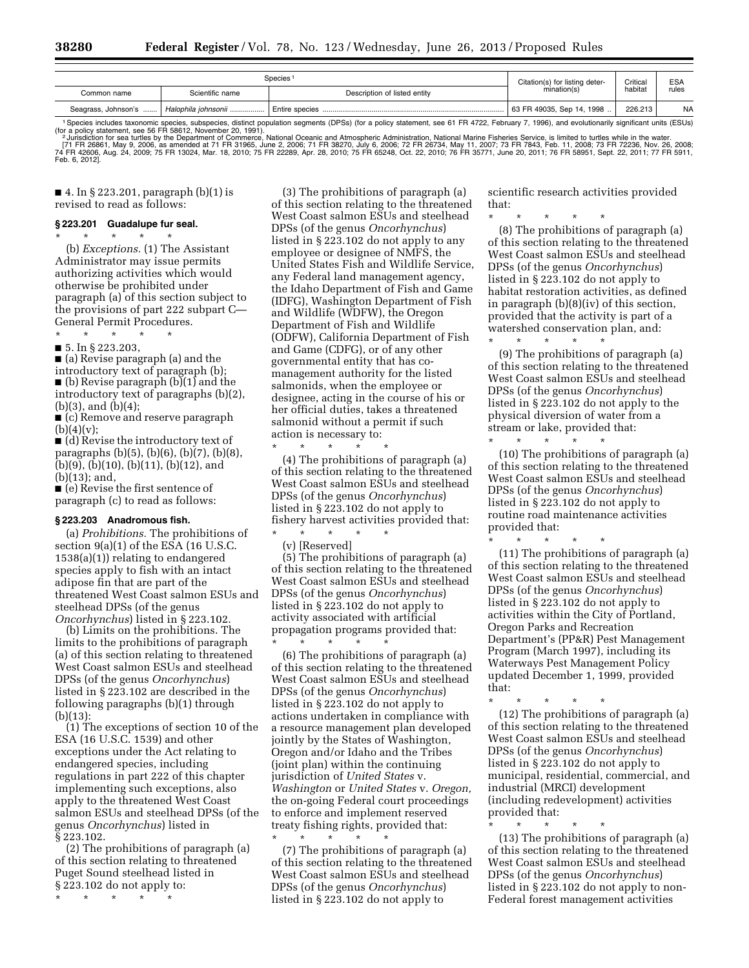|                                                                                                                                                                                               | Species <sup>1</sup> |                              |                                               | Critical | ES/       |  |
|-----------------------------------------------------------------------------------------------------------------------------------------------------------------------------------------------|----------------------|------------------------------|-----------------------------------------------|----------|-----------|--|
| Common name                                                                                                                                                                                   | Scientific name      | Description of listed entity | Citation(s) for listing deter-<br>mination(s) | habitat  | rules     |  |
| Seagrass, Johnson's                                                                                                                                                                           | Halophila johnsonii  |                              | 63 FR 49035, Sep 14, 1998                     | 226.213  | <b>NA</b> |  |
| 1 Cancing included tovenamic engaine, qubenesies, distinct population ecoments (DDCs) (for a policy etatement, see C1 ED 4799. Eabruary 7, 1000), and ovalutionarily eignificant unita (ECUA) |                      |                              |                                               |          |           |  |

1 Species includes taxonomic species, subspecies, subspecies, district population segments (DPSs) (for a policy statement, see 61 FR 4722, February 7, 1996), and evolutionarily significant units (ESUs)<br>(for a policy statem Feb. 6, 2012].

■ 4. In § 223.201, paragraph (b)(1) is revised to read as follows:

### **§ 223.201 Guadalupe fur seal.**

\* \* \* \* \* (b) *Exceptions.* (1) The Assistant Administrator may issue permits authorizing activities which would otherwise be prohibited under paragraph (a) of this section subject to the provisions of part 222 subpart C— General Permit Procedures.

\* \* \* \* \* ■ 5. In § 223.203,

■ (a) Revise paragraph (a) and the introductory text of paragraph (b); ■ (b) Revise paragraph (b)(1) and the introductory text of paragraphs (b)(2), (b)(3), and (b)(4);

■ (c) Remove and reserve paragraph  $(b)(4)(v);$ 

■ (d) Revise the introductory text of paragraphs (b)(5), (b)(6), (b)(7), (b)(8), (b)(9), (b)(10), (b)(11), (b)(12), and (b)(13); and,

■ (e) Revise the first sentence of paragraph (c) to read as follows:

## **§ 223.203 Anadromous fish.**

(a) *Prohibitions.* The prohibitions of section 9(a)(1) of the ESA (16 U.S.C. 1538(a)(1)) relating to endangered species apply to fish with an intact adipose fin that are part of the threatened West Coast salmon ESUs and steelhead DPSs (of the genus *Oncorhynchus*) listed in § 223.102.

(b) Limits on the prohibitions. The limits to the prohibitions of paragraph (a) of this section relating to threatened West Coast salmon ESUs and steelhead DPSs (of the genus *Oncorhynchus*) listed in § 223.102 are described in the following paragraphs (b)(1) through (b)(13):

(1) The exceptions of section 10 of the ESA (16 U.S.C. 1539) and other exceptions under the Act relating to endangered species, including regulations in part 222 of this chapter implementing such exceptions, also apply to the threatened West Coast salmon ESUs and steelhead DPSs (of the genus *Oncorhynchus*) listed in § 223.102.

(2) The prohibitions of paragraph (a) of this section relating to threatened Puget Sound steelhead listed in § 223.102 do not apply to:

\* \* \* \* \*

(3) The prohibitions of paragraph (a) of this section relating to the threatened West Coast salmon ESUs and steelhead DPSs (of the genus *Oncorhynchus*) listed in § 223.102 do not apply to any employee or designee of NMFS, the United States Fish and Wildlife Service, any Federal land management agency, the Idaho Department of Fish and Game (IDFG), Washington Department of Fish and Wildlife (WDFW), the Oregon Department of Fish and Wildlife (ODFW), California Department of Fish and Game (CDFG), or of any other governmental entity that has comanagement authority for the listed salmonids, when the employee or designee, acting in the course of his or her official duties, takes a threatened salmonid without a permit if such action is necessary to:

(4) The prohibitions of paragraph (a) of this section relating to the threatened West Coast salmon ESUs and steelhead DPSs (of the genus *Oncorhynchus*) listed in § 223.102 do not apply to fishery harvest activities provided that:

\* \* \* \* \* (v) [Reserved]

\* \* \* \* \*

(5) The prohibitions of paragraph (a) of this section relating to the threatened West Coast salmon ESUs and steelhead DPSs (of the genus *Oncorhynchus*) listed in § 223.102 do not apply to activity associated with artificial propagation programs provided that: \* \* \* \* \*

(6) The prohibitions of paragraph (a) of this section relating to the threatened West Coast salmon ESUs and steelhead DPSs (of the genus *Oncorhynchus*) listed in § 223.102 do not apply to actions undertaken in compliance with a resource management plan developed jointly by the States of Washington, Oregon and/or Idaho and the Tribes (joint plan) within the continuing jurisdiction of *United States* v. *Washington* or *United States* v. *Oregon,*  the on-going Federal court proceedings to enforce and implement reserved treaty fishing rights, provided that: \* \* \* \* \*

(7) The prohibitions of paragraph (a) of this section relating to the threatened West Coast salmon ESUs and steelhead DPSs (of the genus *Oncorhynchus*) listed in § 223.102 do not apply to

scientific research activities provided that:

\* \* \* \* \*

(8) The prohibitions of paragraph (a) of this section relating to the threatened West Coast salmon ESUs and steelhead DPSs (of the genus *Oncorhynchus*) listed in § 223.102 do not apply to habitat restoration activities, as defined in paragraph (b)(8)(iv) of this section, provided that the activity is part of a watershed conservation plan, and: \* \* \* \* \*

(9) The prohibitions of paragraph (a) of this section relating to the threatened West Coast salmon ESUs and steelhead DPSs (of the genus *Oncorhynchus*) listed in § 223.102 do not apply to the physical diversion of water from a stream or lake, provided that:

\* \* \* \* \*

(10) The prohibitions of paragraph (a) of this section relating to the threatened West Coast salmon ESUs and steelhead DPSs (of the genus *Oncorhynchus*) listed in § 223.102 do not apply to routine road maintenance activities provided that:

\* \* \* \* \* (11) The prohibitions of paragraph (a) of this section relating to the threatened West Coast salmon ESUs and steelhead DPSs (of the genus *Oncorhynchus*) listed in § 223.102 do not apply to activities within the City of Portland, Oregon Parks and Recreation Department's (PP&R) Pest Management Program (March 1997), including its Waterways Pest Management Policy updated December 1, 1999, provided that:

\* \* \* \* \* (12) The prohibitions of paragraph (a) of this section relating to the threatened West Coast salmon ESUs and steelhead DPSs (of the genus *Oncorhynchus*) listed in § 223.102 do not apply to municipal, residential, commercial, and industrial (MRCI) development (including redevelopment) activities provided that:

\* \* \* \* \* (13) The prohibitions of paragraph (a) of this section relating to the threatened West Coast salmon ESUs and steelhead DPSs (of the genus *Oncorhynchus*) listed in § 223.102 do not apply to non-Federal forest management activities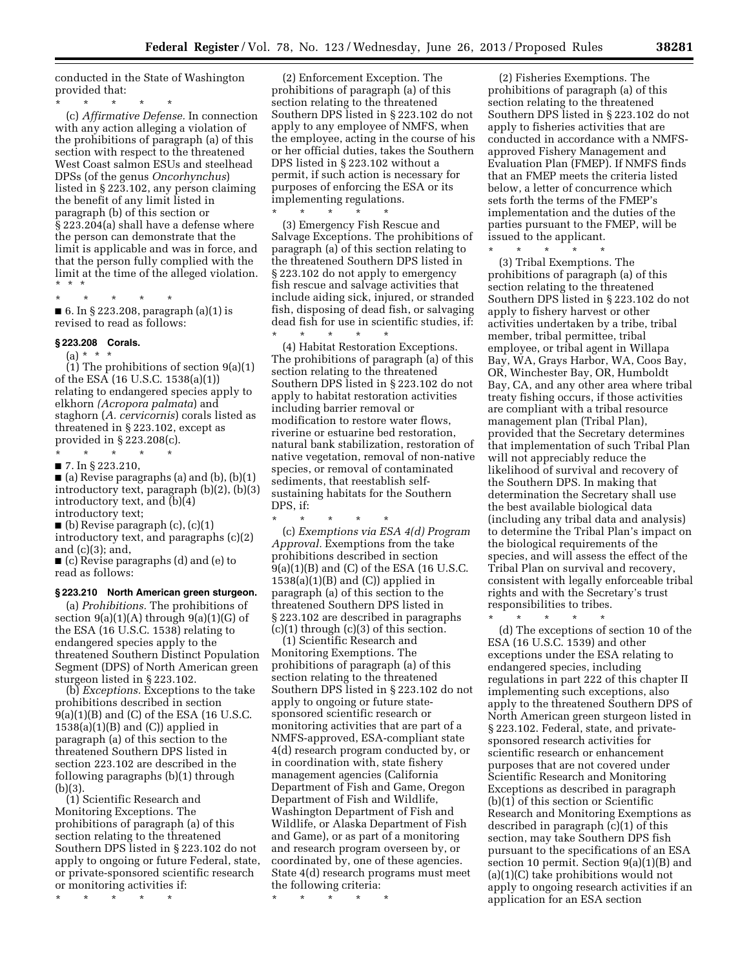conducted in the State of Washington provided that:

\* \* \* \* \* (c) *Affirmative Defense.* In connection with any action alleging a violation of the prohibitions of paragraph (a) of this section with respect to the threatened West Coast salmon ESUs and steelhead DPSs (of the genus *Oncorhynchus*) listed in § 223.102, any person claiming the benefit of any limit listed in paragraph (b) of this section or § 223.204(a) shall have a defense where the person can demonstrate that the limit is applicable and was in force, and that the person fully complied with the limit at the time of the alleged violation. \* \* \*

\* \* \* \* \* ■ 6. In § 223.208, paragraph (a)(1) is revised to read as follows:

### **§ 223.208 Corals.**

 $(a) * * * *$ (1) The prohibitions of section 9(a)(1) of the ESA (16 U.S.C. 1538(a)(1)) relating to endangered species apply to elkhorn *(Acropora palmata*) and staghorn (*A. cervicornis*) corals listed as threatened in § 223.102, except as provided in § 223.208(c).

\* \* \* \* \*

■ 7. In § 223.210,  $\blacksquare$  (a) Revise paragraphs (a) and (b), (b)(1) introductory text, paragraph (b)(2), (b)(3) introductory text, and (b)(4)

introductory text;

 $\blacksquare$  (b) Revise paragraph (c), (c)(1) introductory text, and paragraphs (c)(2) and (c)(3); and,

■ (c) Revise paragraphs (d) and (e) to read as follows:

### **§ 223.210 North American green sturgeon.**

(a) *Prohibitions.* The prohibitions of section  $9(a)(1)(A)$  through  $9(a)(1)(G)$  of the ESA (16 U.S.C. 1538) relating to endangered species apply to the threatened Southern Distinct Population Segment (DPS) of North American green sturgeon listed in § 223.102.

(b) *Exceptions.* Exceptions to the take prohibitions described in section 9(a)(1)(B) and (C) of the ESA (16 U.S.C.  $1538(a)(1)(B)$  and  $(C)$ ) applied in paragraph (a) of this section to the threatened Southern DPS listed in section 223.102 are described in the following paragraphs (b)(1) through (b)(3).

(1) Scientific Research and Monitoring Exceptions. The prohibitions of paragraph (a) of this section relating to the threatened Southern DPS listed in § 223.102 do not apply to ongoing or future Federal, state, or private-sponsored scientific research or monitoring activities if:

\* \* \* \* \*

(2) Enforcement Exception. The prohibitions of paragraph (a) of this section relating to the threatened Southern DPS listed in § 223.102 do not apply to any employee of NMFS, when the employee, acting in the course of his or her official duties, takes the Southern DPS listed in § 223.102 without a permit, if such action is necessary for purposes of enforcing the ESA or its implementing regulations. \* \* \* \* \*

(3) Emergency Fish Rescue and Salvage Exceptions. The prohibitions of paragraph (a) of this section relating to the threatened Southern DPS listed in § 223.102 do not apply to emergency fish rescue and salvage activities that include aiding sick, injured, or stranded fish, disposing of dead fish, or salvaging dead fish for use in scientific studies, if:

\* \* \* \* \* (4) Habitat Restoration Exceptions. The prohibitions of paragraph (a) of this section relating to the threatened Southern DPS listed in § 223.102 do not apply to habitat restoration activities including barrier removal or modification to restore water flows, riverine or estuarine bed restoration, natural bank stabilization, restoration of native vegetation, removal of non-native species, or removal of contaminated sediments, that reestablish selfsustaining habitats for the Southern DPS, if:

\* \* \* \* \* (c) *Exemptions via ESA 4(d) Program Approval.* Exemptions from the take prohibitions described in section 9(a)(1)(B) and (C) of the ESA (16 U.S.C.  $1538(a)(1)(B)$  and  $(C)$ ) applied in paragraph (a) of this section to the threatened Southern DPS listed in § 223.102 are described in paragraphs (c)(1) through (c)(3) of this section.

(1) Scientific Research and Monitoring Exemptions. The prohibitions of paragraph (a) of this section relating to the threatened Southern DPS listed in § 223.102 do not apply to ongoing or future statesponsored scientific research or monitoring activities that are part of a NMFS-approved, ESA-compliant state 4(d) research program conducted by, or in coordination with, state fishery management agencies (California Department of Fish and Game, Oregon Department of Fish and Wildlife, Washington Department of Fish and Wildlife, or Alaska Department of Fish and Game), or as part of a monitoring and research program overseen by, or coordinated by, one of these agencies. State 4(d) research programs must meet the following criteria:

\* \* \* \* \*

(2) Fisheries Exemptions. The prohibitions of paragraph (a) of this section relating to the threatened Southern DPS listed in § 223.102 do not apply to fisheries activities that are conducted in accordance with a NMFSapproved Fishery Management and Evaluation Plan (FMEP). If NMFS finds that an FMEP meets the criteria listed below, a letter of concurrence which sets forth the terms of the FMEP's implementation and the duties of the parties pursuant to the FMEP, will be issued to the applicant.

\* \* \* \* \*

(3) Tribal Exemptions. The prohibitions of paragraph (a) of this section relating to the threatened Southern DPS listed in § 223.102 do not apply to fishery harvest or other activities undertaken by a tribe, tribal member, tribal permittee, tribal employee, or tribal agent in Willapa Bay, WA, Grays Harbor, WA, Coos Bay, OR, Winchester Bay, OR, Humboldt Bay, CA, and any other area where tribal treaty fishing occurs, if those activities are compliant with a tribal resource management plan (Tribal Plan), provided that the Secretary determines that implementation of such Tribal Plan will not appreciably reduce the likelihood of survival and recovery of the Southern DPS. In making that determination the Secretary shall use the best available biological data (including any tribal data and analysis) to determine the Tribal Plan's impact on the biological requirements of the species, and will assess the effect of the Tribal Plan on survival and recovery, consistent with legally enforceable tribal rights and with the Secretary's trust responsibilities to tribes.

\* \* \* \* \*

(d) The exceptions of section 10 of the ESA (16 U.S.C. 1539) and other exceptions under the ESA relating to endangered species, including regulations in part 222 of this chapter II implementing such exceptions, also apply to the threatened Southern DPS of North American green sturgeon listed in § 223.102. Federal, state, and privatesponsored research activities for scientific research or enhancement purposes that are not covered under Scientific Research and Monitoring Exceptions as described in paragraph (b)(1) of this section or Scientific Research and Monitoring Exemptions as described in paragraph (c)(1) of this section, may take Southern DPS fish pursuant to the specifications of an ESA section 10 permit. Section 9(a)(1)(B) and (a)(1)(C) take prohibitions would not apply to ongoing research activities if an application for an ESA section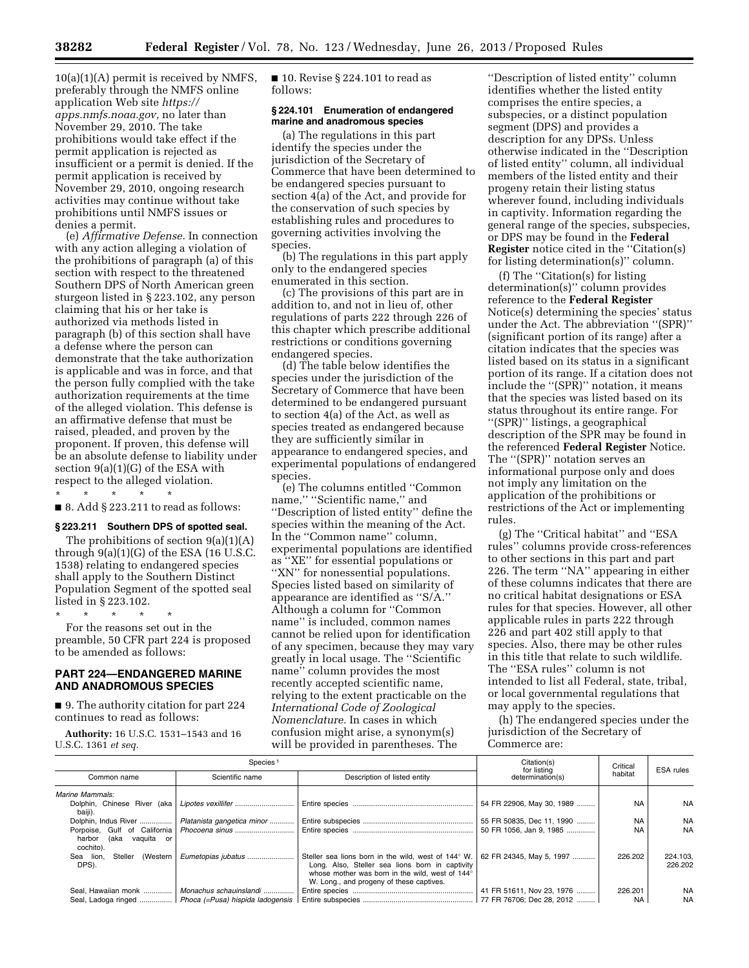10(a)(1)(A) permit is received by NMFS, preferably through the NMFS online application Web site *[https://](https://apps.nmfs.noaa.gov)  [apps.nmfs.noaa.gov,](https://apps.nmfs.noaa.gov)* no later than November 29, 2010. The take prohibitions would take effect if the permit application is rejected as insufficient or a permit is denied. If the permit application is received by November 29, 2010, ongoing research activities may continue without take prohibitions until NMFS issues or denies a permit.

(e) *Affirmative Defense.* In connection with any action alleging a violation of the prohibitions of paragraph (a) of this section with respect to the threatened Southern DPS of North American green sturgeon listed in § 223.102, any person claiming that his or her take is authorized via methods listed in paragraph (b) of this section shall have a defense where the person can demonstrate that the take authorization is applicable and was in force, and that the person fully complied with the take authorization requirements at the time of the alleged violation. This defense is an affirmative defense that must be raised, pleaded, and proven by the proponent. If proven, this defense will be an absolute defense to liability under section 9(a)(1)(G) of the ESA with respect to the alleged violation.

\* \* \* \* \*

 $\blacksquare$  8. Add § 223.211 to read as follows:

# **§ 223.211 Southern DPS of spotted seal.**

The prohibitions of section 9(a)(1)(A) through  $9(a)(1)(G)$  of the ESA (16 U.S.C. 1538) relating to endangered species shall apply to the Southern Distinct Population Segment of the spotted seal listed in § 223.102.

\* \* \* \* \*

For the reasons set out in the preamble, 50 CFR part 224 is proposed to be amended as follows:

# **PART 224—ENDANGERED MARINE AND ANADROMOUS SPECIES**

■ 9. The authority citation for part 224 continues to read as follows:

**Authority:** 16 U.S.C. 1531–1543 and 16 U.S.C. 1361 *et seq.* 

■ 10. Revise § 224.101 to read as follows:

## **§ 224.101 Enumeration of endangered marine and anadromous species**

(a) The regulations in this part identify the species under the jurisdiction of the Secretary of Commerce that have been determined to be endangered species pursuant to section 4(a) of the Act, and provide for the conservation of such species by establishing rules and procedures to governing activities involving the species.

(b) The regulations in this part apply only to the endangered species enumerated in this section.

(c) The provisions of this part are in addition to, and not in lieu of, other regulations of parts 222 through 226 of this chapter which prescribe additional restrictions or conditions governing endangered species.

(d) The table below identifies the species under the jurisdiction of the Secretary of Commerce that have been determined to be endangered pursuant to section 4(a) of the Act, as well as species treated as endangered because they are sufficiently similar in appearance to endangered species, and experimental populations of endangered species.

(e) The columns entitled ''Common name," "Scientific name," and ''Description of listed entity'' define the species within the meaning of the Act. In the ''Common name'' column, experimental populations are identified as ''XE'' for essential populations or ''XN'' for nonessential populations. Species listed based on similarity of appearance are identified as ''S/A.'' Although a column for ''Common name'' is included, common names cannot be relied upon for identification of any specimen, because they may vary greatly in local usage. The ''Scientific name'' column provides the most recently accepted scientific name, relying to the extent practicable on the *International Code of Zoological Nomenclature.* In cases in which confusion might arise, a synonym(s) will be provided in parentheses. The

''Description of listed entity'' column identifies whether the listed entity comprises the entire species, a subspecies, or a distinct population segment (DPS) and provides a description for any DPSs. Unless otherwise indicated in the ''Description of listed entity'' column, all individual members of the listed entity and their progeny retain their listing status wherever found, including individuals in captivity. Information regarding the general range of the species, subspecies, or DPS may be found in the **Federal Register** notice cited in the ''Citation(s) for listing determination(s)'' column.

(f) The ''Citation(s) for listing determination(s)'' column provides reference to the **Federal Register**  Notice(s) determining the species' status under the Act. The abbreviation ''(SPR)'' (significant portion of its range) after a citation indicates that the species was listed based on its status in a significant portion of its range. If a citation does not include the ''(SPR)'' notation, it means that the species was listed based on its status throughout its entire range. For ''(SPR)'' listings, a geographical description of the SPR may be found in the referenced **Federal Register** Notice. The "(SPR)" notation serves an informational purpose only and does not imply any limitation on the application of the prohibitions or restrictions of the Act or implementing rules.

(g) The ''Critical habitat'' and ''ESA rules'' columns provide cross-references to other sections in this part and part 226. The term ''NA'' appearing in either of these columns indicates that there are no critical habitat designations or ESA rules for that species. However, all other applicable rules in parts 222 through 226 and part 402 still apply to that species. Also, there may be other rules in this title that relate to such wildlife. The ''ESA rules'' column is not intended to list all Federal, state, tribal, or local governmental regulations that may apply to the species.

(h) The endangered species under the jurisdiction of the Secretary of Commerce are:

| Species <sup>1</sup>                                                   |                                                         |                                                                                                                                                                                                       | Citation(s)<br>for listing | Critical  | <b>ESA</b> rules    |
|------------------------------------------------------------------------|---------------------------------------------------------|-------------------------------------------------------------------------------------------------------------------------------------------------------------------------------------------------------|----------------------------|-----------|---------------------|
| Common name                                                            | Scientific name                                         | Description of listed entity                                                                                                                                                                          | determination(s)           | habitat   |                     |
| Marine Mammals:                                                        |                                                         |                                                                                                                                                                                                       |                            |           |                     |
| Dolphin. Chinese River (aka  <br>baiji).                               | Lipotes vexillifer                                      |                                                                                                                                                                                                       | 54 FR 22906, May 30, 1989  | <b>NA</b> | <b>NA</b>           |
| Dolphin, Indus River                                                   | Platanista gangetica minor                              |                                                                                                                                                                                                       | 55 FR 50835, Dec 11, 1990  | <b>NA</b> | <b>NA</b>           |
| Porpoise. Gulf of California<br>harbor<br>(aka vaguita or<br>cochito). |                                                         |                                                                                                                                                                                                       | 50 FR 1056, Jan 9, 1985    | <b>NA</b> | <b>NA</b>           |
| Sea lion.<br>(Western<br>Steller<br>DPS).                              | Eumetopias jubatus                                      | Steller sea lions born in the wild, west of 144° W.<br>Long. Also, Steller sea lions born in captivity<br>whose mother was born in the wild, west of 144°<br>W. Long., and progeny of these captives. | 62 FR 24345. May 5. 1997   | 226,202   | 224.103.<br>226,202 |
| Seal, Hawaiian monk                                                    | Monachus schauinslandi                                  |                                                                                                                                                                                                       | 41 FR 51611, Nov 23, 1976  | 226.201   | <b>NA</b>           |
|                                                                        | Seal, Ladoga ringed    Phoca (=Pusa) hispida ladogensis |                                                                                                                                                                                                       | 77 FR 76706; Dec 28, 2012  | <b>NA</b> | <b>NA</b>           |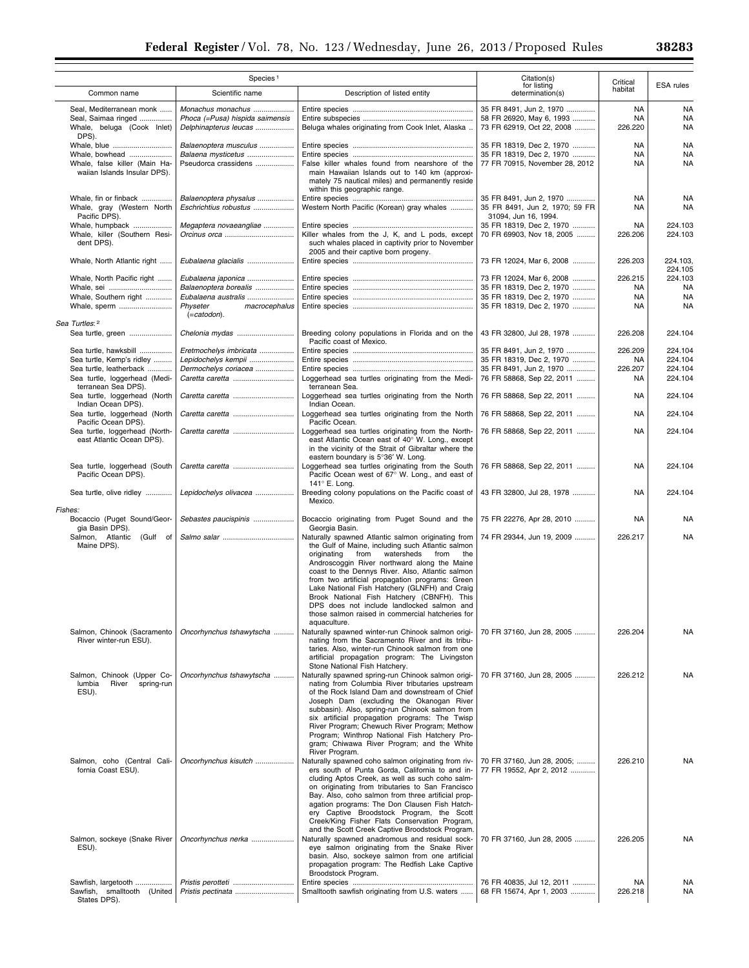| 90909 |  |  |
|-------|--|--|
| കദാ   |  |  |
|       |  |  |

÷.

|                                                                      | Species <sup>1</sup>                                     |                                                                                                                                                                                                                                                                                                                                                                                                                                                                                                                                     | Citation(s)                                                                       | Critical             | ESA rules          |
|----------------------------------------------------------------------|----------------------------------------------------------|-------------------------------------------------------------------------------------------------------------------------------------------------------------------------------------------------------------------------------------------------------------------------------------------------------------------------------------------------------------------------------------------------------------------------------------------------------------------------------------------------------------------------------------|-----------------------------------------------------------------------------------|----------------------|--------------------|
| Common name                                                          | Scientific name                                          | Description of listed entity                                                                                                                                                                                                                                                                                                                                                                                                                                                                                                        | for listing<br>determination(s)                                                   | habitat              |                    |
| Seal, Mediterranean monk                                             | Monachus monachus                                        |                                                                                                                                                                                                                                                                                                                                                                                                                                                                                                                                     | 35 FR 8491, Jun 2, 1970                                                           | <b>NA</b>            | NA                 |
| Seal, Saimaa ringed<br>Whale, beluga (Cook Inlet)<br>DPS).           | Phoca (=Pusa) hispida saimensis<br>Delphinapterus leucas | Beluga whales originating from Cook Inlet, Alaska                                                                                                                                                                                                                                                                                                                                                                                                                                                                                   | 58 FR 26920, May 6, 1993<br>73 FR 62919, Oct 22, 2008                             | <b>NA</b><br>226.220 | <b>NA</b><br>NA    |
|                                                                      | Balaenoptera musculus                                    |                                                                                                                                                                                                                                                                                                                                                                                                                                                                                                                                     | 35 FR 18319, Dec 2, 1970                                                          | NA                   | NA                 |
| Whale, bowhead                                                       | Balaena mysticetus                                       |                                                                                                                                                                                                                                                                                                                                                                                                                                                                                                                                     | 35 FR 18319, Dec 2, 1970                                                          | NA                   | <b>NA</b>          |
| Whale, false killer (Main Ha-<br>waiian Islands Insular DPS).        | Pseudorca crassidens                                     | False killer whales found from nearshore of the<br>main Hawaiian Islands out to 140 km (approxi-<br>mately 75 nautical miles) and permanently reside<br>within this geographic range.                                                                                                                                                                                                                                                                                                                                               | 77 FR 70915, November 28, 2012                                                    | <b>NA</b>            | <b>NA</b>          |
| Whale, fin or finback<br>Whale, gray (Western North<br>Pacific DPS). | Balaenoptera physalus<br>Eschrichtius robustus           | Western North Pacific (Korean) gray whales                                                                                                                                                                                                                                                                                                                                                                                                                                                                                          | 35 FR 8491, Jun 2, 1970<br>35 FR 8491, Jun 2, 1970; 59 FR<br>31094, Jun 16, 1994. | NA<br>NA             | NA<br>NA           |
| Whale, humpback<br>Whale, killer (Southern Resi-                     | Megaptera novaeangliae                                   | Killer whales from the J, K, and L pods, except                                                                                                                                                                                                                                                                                                                                                                                                                                                                                     | 35 FR 18319, Dec 2, 1970<br>70 FR 69903, Nov 18, 2005                             | NA<br>226.206        | 224.103<br>224.103 |
| dent DPS).<br>Whale, North Atlantic right                            | Eubalaena glacialis                                      | such whales placed in captivity prior to November<br>2005 and their captive born progeny.                                                                                                                                                                                                                                                                                                                                                                                                                                           | 73 FR 12024, Mar 6, 2008                                                          | 226.203              | 224.103.           |
|                                                                      |                                                          |                                                                                                                                                                                                                                                                                                                                                                                                                                                                                                                                     |                                                                                   |                      | 224.105            |
| Whale, North Pacific right                                           | Eubalaena japonica                                       |                                                                                                                                                                                                                                                                                                                                                                                                                                                                                                                                     | 73 FR 12024, Mar 6, 2008                                                          | 226.215              | 224.103            |
| Whale, sei                                                           | Balaenoptera borealis                                    |                                                                                                                                                                                                                                                                                                                                                                                                                                                                                                                                     | 35 FR 18319, Dec 2, 1970                                                          | NA                   | <b>NA</b>          |
| Whale, Southern right                                                | Eubalaena australis                                      |                                                                                                                                                                                                                                                                                                                                                                                                                                                                                                                                     | 35 FR 18319, Dec 2, 1970                                                          | NA                   | <b>NA</b>          |
| Whale, sperm                                                         | Physeter<br>macrocephalus<br>$(=catodon).$               |                                                                                                                                                                                                                                                                                                                                                                                                                                                                                                                                     | 35 FR 18319, Dec 2, 1970                                                          | NA                   | <b>NA</b>          |
| Sea Turtles: 2                                                       |                                                          |                                                                                                                                                                                                                                                                                                                                                                                                                                                                                                                                     |                                                                                   |                      |                    |
| Sea turtle, green                                                    |                                                          | Breeding colony populations in Florida and on the<br>Pacific coast of Mexico.                                                                                                                                                                                                                                                                                                                                                                                                                                                       | 43 FR 32800, Jul 28, 1978                                                         | 226.208              | 224.104            |
| Sea turtle, hawksbill                                                | Eretmochelys imbricata                                   |                                                                                                                                                                                                                                                                                                                                                                                                                                                                                                                                     | 35 FR 8491, Jun 2, 1970                                                           | 226.209              | 224.104            |
| Sea turtle, Kemp's ridley                                            | Lepidochelys kempii                                      |                                                                                                                                                                                                                                                                                                                                                                                                                                                                                                                                     | 35 FR 18319, Dec 2, 1970                                                          | NA                   | 224.104            |
| Sea turtle, leatherback<br>Sea turtle, loggerhead (Medi-             | Dermochelys coriacea                                     | Loggerhead sea turtles originating from the Medi-                                                                                                                                                                                                                                                                                                                                                                                                                                                                                   | 35 FR 8491, Jun 2, 1970<br>76 FR 58868, Sep 22, 2011                              | 226.207              | 224.104<br>224.104 |
| terranean Sea DPS).                                                  |                                                          | terranean Sea.                                                                                                                                                                                                                                                                                                                                                                                                                                                                                                                      |                                                                                   | NA                   |                    |
| Sea turtle, loggerhead (North<br>Indian Ocean DPS).                  | Caretta caretta                                          | Loggerhead sea turtles originating from the North<br>Indian Ocean.                                                                                                                                                                                                                                                                                                                                                                                                                                                                  | 76 FR 58868, Sep 22, 2011                                                         | NA                   | 224.104            |
| Sea turtle, loggerhead (North<br>Pacific Ocean DPS).                 |                                                          | Loggerhead sea turtles originating from the North<br>Pacific Ocean.                                                                                                                                                                                                                                                                                                                                                                                                                                                                 | 76 FR 58868, Sep 22, 2011                                                         | <b>NA</b>            | 224.104            |
| Sea turtle, loggerhead (North-<br>east Atlantic Ocean DPS).          | Caretta caretta                                          | Loggerhead sea turtles originating from the North-<br>east Atlantic Ocean east of 40° W. Long., except<br>in the vicinity of the Strait of Gibraltar where the                                                                                                                                                                                                                                                                                                                                                                      | 76 FR 58868, Sep 22, 2011                                                         | NA                   | 224.104            |
| Sea turtle, loggerhead (South<br>Pacific Ocean DPS).                 | Caretta caretta                                          | eastern boundary is 5°36' W. Long.<br>Loggerhead sea turtles originating from the South<br>Pacific Ocean west of 67° W. Long., and east of<br>141° E. Long.                                                                                                                                                                                                                                                                                                                                                                         | 76 FR 58868, Sep 22, 2011                                                         | <b>NA</b>            | 224.104            |
| Sea turtle, olive ridley                                             | Lepidochelys olivacea                                    | Breeding colony populations on the Pacific coast of<br>Mexico.                                                                                                                                                                                                                                                                                                                                                                                                                                                                      | 43 FR 32800, Jul 28, 1978                                                         | NA                   | 224.104            |
| Fishes:<br>Bocaccio (Puget Sound/Geor-<br>gia Basin DPS).            | Sebastes paucispinis                                     | Bocaccio originating from Puget Sound and the<br>Georgia Basin.                                                                                                                                                                                                                                                                                                                                                                                                                                                                     | 75 FR 22276, Apr 28, 2010                                                         | NA                   | NA                 |
| Salmon, Atlantic (Gulf of<br>Maine DPS).                             |                                                          | Naturally spawned Atlantic salmon originating from<br>the Gulf of Maine, including such Atlantic salmon<br>watersheds<br>originating<br>from<br>from<br>the<br>Androscoggin River northward along the Maine<br>coast to the Dennys River. Also, Atlantic salmon<br>from two artificial propagation programs: Green<br>Lake National Fish Hatchery (GLNFH) and Craig<br>Brook National Fish Hatchery (CBNFH). This<br>DPS does not include landlocked salmon and<br>those salmon raised in commercial hatcheries for<br>aquaculture. | 74 FR 29344, Jun 19, 2009                                                         | 226.217              | <b>NA</b>          |
| Salmon, Chinook (Sacramento<br>River winter-run ESU).                | Oncorhynchus tshawytscha                                 | Naturally spawned winter-run Chinook salmon origi-<br>nating from the Sacramento River and its tribu-<br>taries. Also, winter-run Chinook salmon from one<br>artificial propagation program: The Livingston<br>Stone National Fish Hatchery.                                                                                                                                                                                                                                                                                        | 70 FR 37160, Jun 28, 2005                                                         | 226.204              | <b>NA</b>          |
| Salmon, Chinook (Upper Co-<br>lumbia<br>River<br>spring-run<br>ESU). | Oncorhynchus tshawytscha                                 | Naturally spawned spring-run Chinook salmon origi-<br>nating from Columbia River tributaries upstream<br>of the Rock Island Dam and downstream of Chief<br>Joseph Dam (excluding the Okanogan River<br>subbasin). Also, spring-run Chinook salmon from<br>six artificial propagation programs: The Twisp<br>River Program: Chewuch River Program: Methow<br>Program; Winthrop National Fish Hatchery Pro-<br>gram; Chiwawa River Program; and the White<br>River Program.                                                           | 70 FR 37160, Jun 28, 2005                                                         | 226.212              | NA                 |
| Salmon, coho (Central Cali-<br>fornia Coast ESU).                    | Oncorhynchus kisutch                                     | Naturally spawned coho salmon originating from riv-<br>ers south of Punta Gorda, California to and in-<br>cluding Aptos Creek, as well as such coho salm-<br>on originating from tributaries to San Francisco<br>Bay. Also, coho salmon from three artificial prop-<br>agation programs: The Don Clausen Fish Hatch-<br>ery Captive Broodstock Program, the Scott<br>Creek/King Fisher Flats Conservation Program,                                                                                                                  | 70 FR 37160, Jun 28, 2005;<br>77 FR 19552, Apr 2, 2012                            | 226.210              | NA                 |
| Salmon, sockeye (Snake River<br>ESU).                                | Oncorhynchus nerka                                       | and the Scott Creek Captive Broodstock Program.<br>Naturally spawned anadromous and residual sock-<br>eye salmon originating from the Snake River<br>basin. Also, sockeye salmon from one artificial<br>propagation program: The Redfish Lake Captive<br>Broodstock Program.                                                                                                                                                                                                                                                        | 70 FR 37160, Jun 28, 2005                                                         | 226.205              | <b>NA</b>          |
| Sawfish, largetooth                                                  | Pristis perotteti                                        |                                                                                                                                                                                                                                                                                                                                                                                                                                                                                                                                     | 76 FR 40835, Jul 12, 2011                                                         | NA                   | NA                 |
| Sawfish, smalltooth (United<br>States DPS).                          |                                                          | Smalltooth sawfish originating from U.S. waters                                                                                                                                                                                                                                                                                                                                                                                                                                                                                     | 68 FR 15674, Apr 1, 2003                                                          | 226.218              | NA                 |